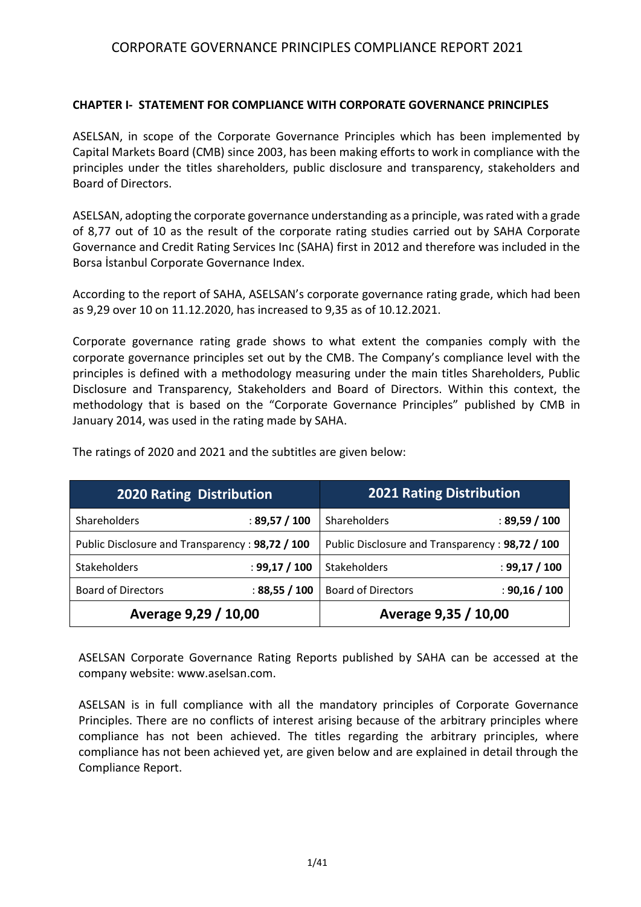#### **CHAPTER I- STATEMENT FOR COMPLIANCE WITH CORPORATE GOVERNANCE PRINCIPLES**

ASELSAN, in scope of the Corporate Governance Principles which has been implemented by Capital Markets Board (CMB) since 2003, has been making efforts to work in compliance with the principles under the titles shareholders, public disclosure and transparency, stakeholders and Board of Directors.

ASELSAN, adopting the corporate governance understanding as a principle, was rated with a grade of 8,77 out of 10 as the result of the corporate rating studies carried out by SAHA Corporate Governance and Credit Rating Services Inc (SAHA) first in 2012 and therefore was included in the Borsa İstanbul Corporate Governance Index.

According to the report of SAHA, ASELSAN's corporate governance rating grade, which had been as 9,29 over 10 on 11.12.2020, has increased to 9,35 as of 10.12.2021.

Corporate governance rating grade shows to what extent the companies comply with the corporate governance principles set out by the CMB. The Company's compliance level with the principles is defined with a methodology measuring under the main titles Shareholders, Public Disclosure and Transparency, Stakeholders and Board of Directors. Within this context, the methodology that is based on the "Corporate Governance Principles" published by CMB in January 2014, was used in the rating made by SAHA.

| <b>2020 Rating Distribution</b>                 |               | <b>2021 Rating Distribution</b>                 |               |  |  |
|-------------------------------------------------|---------------|-------------------------------------------------|---------------|--|--|
| Shareholders                                    | : 89,57 / 100 | Shareholders                                    | : 89,59 / 100 |  |  |
| Public Disclosure and Transparency: 98,72 / 100 |               | Public Disclosure and Transparency: 98,72 / 100 |               |  |  |
| <b>Stakeholders</b>                             | : 99,17 / 100 | Stakeholders                                    | : 99,17 / 100 |  |  |
| <b>Board of Directors</b>                       | : 88,55 / 100 | <b>Board of Directors</b>                       | : 90,16 / 100 |  |  |
| Average 9,29 / 10,00                            |               | Average 9,35 / 10,00                            |               |  |  |

The ratings of 2020 and 2021 and the subtitles are given below:

ASELSAN Corporate Governance Rating Reports published by SAHA can be accessed at the company website[: www.aselsan.com.](http://www.aselsan.com/)

ASELSAN is in full compliance with all the mandatory principles of Corporate Governance Principles. There are no conflicts of interest arising because of the arbitrary principles where compliance has not been achieved. The titles regarding the arbitrary principles, where compliance has not been achieved yet, are given below and are explained in detail through the Compliance Report.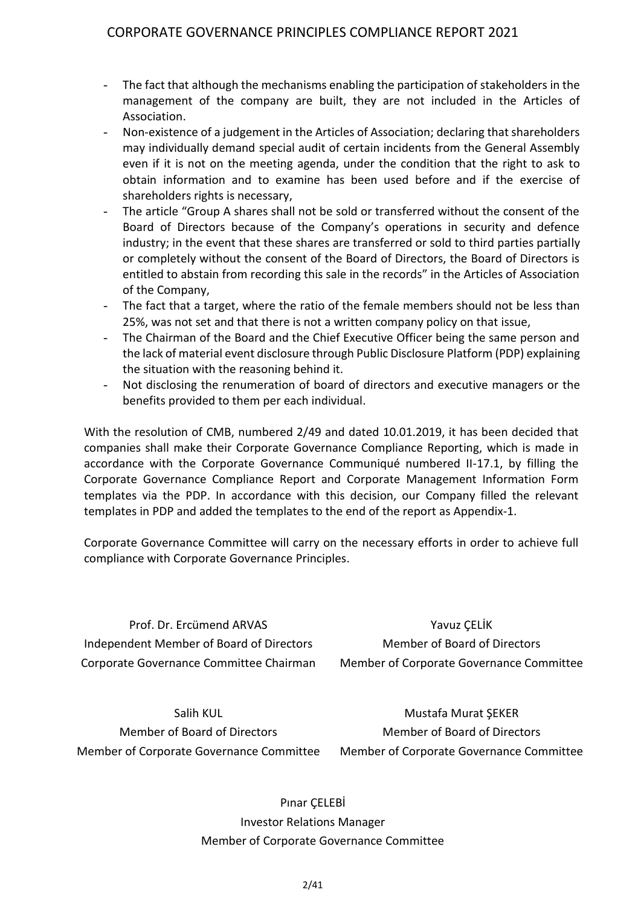- The fact that although the mechanisms enabling the participation of stakeholders in the management of the company are built, they are not included in the Articles of Association.
- Non-existence of a judgement in the Articles of Association; declaring that shareholders may individually demand special audit of certain incidents from the General Assembly even if it is not on the meeting agenda, under the condition that the right to ask to obtain information and to examine has been used before and if the exercise of shareholders rights is necessary,
- The article "Group A shares shall not be sold or transferred without the consent of the Board of Directors because of the Company's operations in security and defence industry; in the event that these shares are transferred or sold to third parties partially or completely without the consent of the Board of Directors, the Board of Directors is entitled to abstain from recording this sale in the records" in the Articles of Association of the Company,
- The fact that a target, where the ratio of the female members should not be less than 25%, was not set and that there is not a written company policy on that issue,
- The Chairman of the Board and the Chief Executive Officer being the same person and the lack of material event disclosure through Public Disclosure Platform (PDP) explaining the situation with the reasoning behind it.
- Not disclosing the renumeration of board of directors and executive managers or the benefits provided to them per each individual.

With the resolution of CMB, numbered 2/49 and dated 10.01.2019, it has been decided that companies shall make their Corporate Governance Compliance Reporting, which is made in accordance with the Corporate Governance Communiqué numbered II-17.1, by filling the Corporate Governance Compliance Report and Corporate Management Information Form templates via the PDP. In accordance with this decision, our Company filled the relevant templates in PDP and added the templates to the end of the report as Appendix-1.

Corporate Governance Committee will carry on the necessary efforts in order to achieve full compliance with Corporate Governance Principles.

Prof. Dr. Ercümend ARVAS Independent Member of Board of Directors Corporate Governance Committee Chairman

Yavuz ÇELİK Member of Board of Directors Member of Corporate Governance Committee

Salih KUL Member of Board of Directors Member of Corporate Governance Committee

Mustafa Murat ŞEKER Member of Board of Directors Member of Corporate Governance Committee

Pınar ÇELEBİ Investor Relations Manager Member of Corporate Governance Committee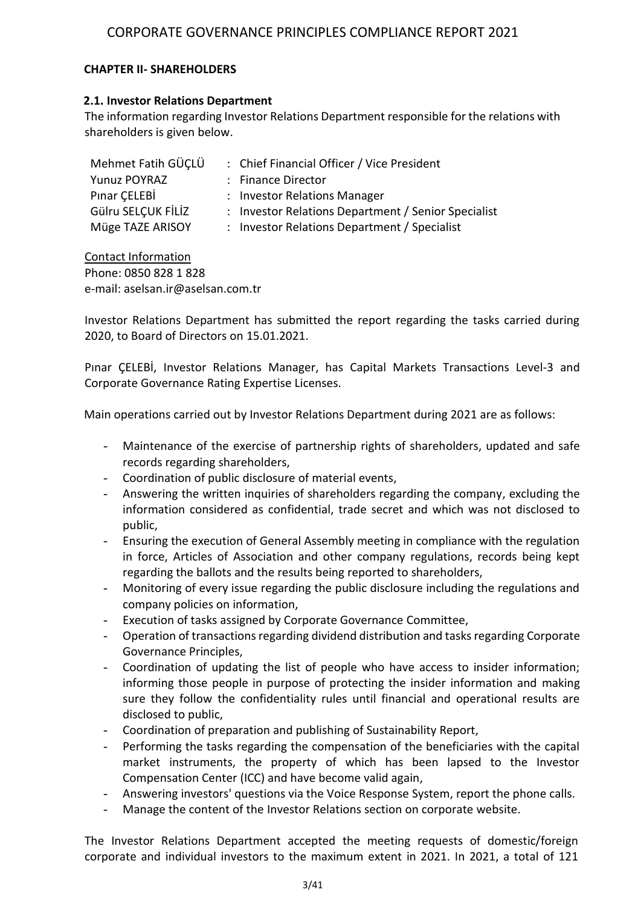### **CHAPTER II- SHAREHOLDERS**

#### **2.1. Investor Relations Department**

The information regarding Investor Relations Department responsible for the relations with shareholders is given below.

| Mehmet Fatih GÜÇLÜ  | : Chief Financial Officer / Vice President          |
|---------------------|-----------------------------------------------------|
| <b>Yunuz POYRAZ</b> | : Finance Director                                  |
| Pinar CELEBİ        | : Investor Relations Manager                        |
| Gülru SELÇUK FİLİZ  | : Investor Relations Department / Senior Specialist |
| Müge TAZE ARISOY    | : Investor Relations Department / Specialist        |

Contact Information Phone: 0850 828 1 828 e-mail: aselsan.ir@aselsan.com.tr

Investor Relations Department has submitted the report regarding the tasks carried during 2020, to Board of Directors on 15.01.2021.

Pınar ÇELEBİ, Investor Relations Manager, has Capital Markets Transactions Level-3 and Corporate Governance Rating Expertise Licenses.

Main operations carried out by Investor Relations Department during 2021 are as follows:

- Maintenance of the exercise of partnership rights of shareholders, updated and safe records regarding shareholders,
- Coordination of public disclosure of material events,
- Answering the written inquiries of shareholders regarding the company, excluding the information considered as confidential, trade secret and which was not disclosed to public,
- Ensuring the execution of General Assembly meeting in compliance with the regulation in force, Articles of Association and other company regulations, records being kept regarding the ballots and the results being reported to shareholders,
- Monitoring of every issue regarding the public disclosure including the regulations and company policies on information,
- Execution of tasks assigned by Corporate Governance Committee,
- Operation of transactions regarding dividend distribution and tasks regarding Corporate Governance Principles,
- Coordination of updating the list of people who have access to insider information; informing those people in purpose of protecting the insider information and making sure they follow the confidentiality rules until financial and operational results are disclosed to public,
- Coordination of preparation and publishing of Sustainability Report,
- Performing the tasks regarding the compensation of the beneficiaries with the capital market instruments, the property of which has been lapsed to the Investor Compensation Center (ICC) and have become valid again,
- Answering investors' questions via the Voice Response System, report the phone calls.
- Manage the content of the Investor Relations section on corporate website.

The Investor Relations Department accepted the meeting requests of domestic/foreign corporate and individual investors to the maximum extent in 2021. In 2021, a total of 121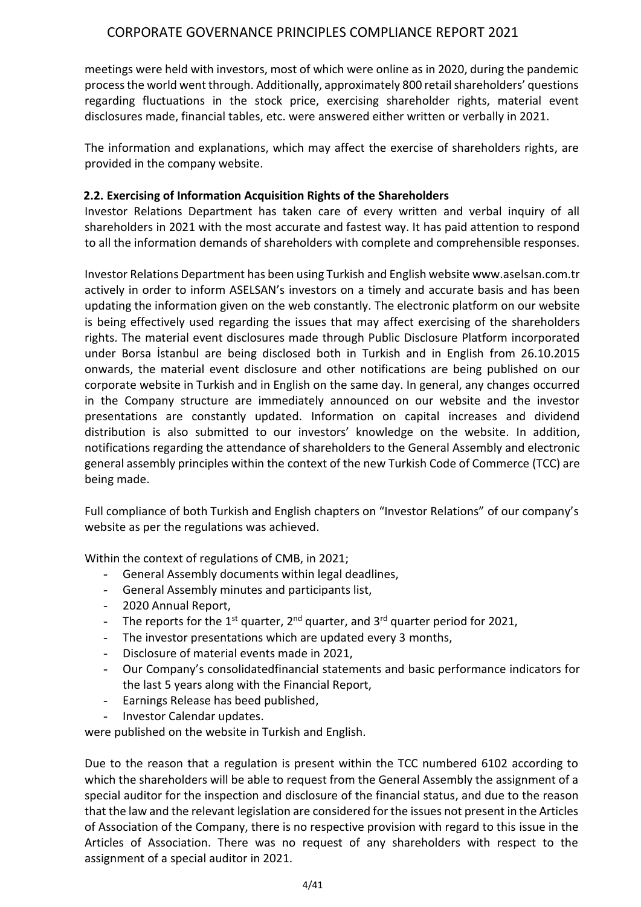meetings were held with investors, most of which were online as in 2020, during the pandemic process the world went through. Additionally, approximately 800 retail shareholders' questions regarding fluctuations in the stock price, exercising shareholder rights, material event disclosures made, financial tables, etc. were answered either written or verbally in 2021.

The information and explanations, which may affect the exercise of shareholders rights, are provided in the company website.

# **2.2. Exercising of Information Acquisition Rights of the Shareholders**

Investor Relations Department has taken care of every written and verbal inquiry of all shareholders in 2021 with the most accurate and fastest way. It has paid attention to respond to all the information demands of shareholders with complete and comprehensible responses.

Investor Relations Department has been using Turkish and English website www.aselsan.com.tr actively in order to inform ASELSAN's investors on a timely and accurate basis and has been updating the information given on the web constantly. The electronic platform on our website is being effectively used regarding the issues that may affect exercising of the shareholders rights. The material event disclosures made through Public Disclosure Platform incorporated under Borsa İstanbul are being disclosed both in Turkish and in English from 26.10.2015 onwards, the material event disclosure and other notifications are being published on our corporate website in Turkish and in English on the same day. In general, any changes occurred in the Company structure are immediately announced on our website and the investor presentations are constantly updated. Information on capital increases and dividend distribution is also submitted to our investors' knowledge on the website. In addition, notifications regarding the attendance of shareholders to the General Assembly and electronic general assembly principles within the context of the new Turkish Code of Commerce (TCC) are being made.

Full compliance of both Turkish and English chapters on "Investor Relations" of our company's website as per the regulations was achieved.

Within the context of regulations of CMB, in 2021;

- General Assembly documents within legal deadlines,
- General Assembly minutes and participants list,
- 2020 Annual Report,
- The reports for the  $1^{st}$  quarter,  $2^{nd}$  quarter, and  $3^{rd}$  quarter period for 2021,
- The investor presentations which are updated every 3 months,
- Disclosure of material events made in 2021,
- Our Company's consolidatedfinancial statements and basic performance indicators for the last 5 years along with the Financial Report,
- Earnings Release has beed published,
- Investor Calendar updates.

were published on the website in Turkish and English.

Due to the reason that a regulation is present within the TCC numbered 6102 according to which the shareholders will be able to request from the General Assembly the assignment of a special auditor for the inspection and disclosure of the financial status, and due to the reason that the law and the relevant legislation are considered for the issues not present in the Articles of Association of the Company, there is no respective provision with regard to this issue in the Articles of Association. There was no request of any shareholders with respect to the assignment of a special auditor in 2021.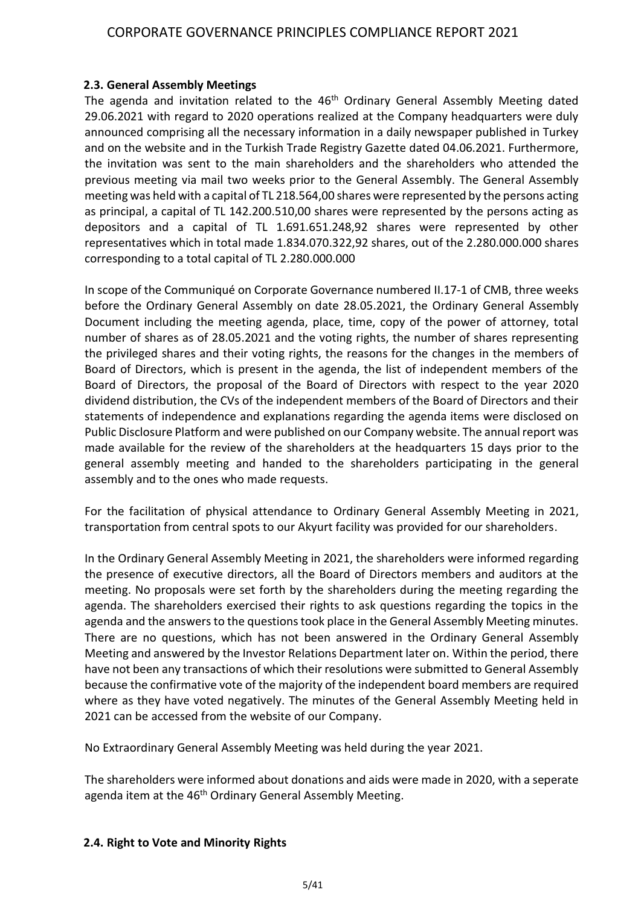#### **2.3. General Assembly Meetings**

The agenda and invitation related to the 46<sup>th</sup> Ordinary General Assembly Meeting dated 29.06.2021 with regard to 2020 operations realized at the Company headquarters were duly announced comprising all the necessary information in a daily newspaper published in Turkey and on the website and in the Turkish Trade Registry Gazette dated 04.06.2021. Furthermore, the invitation was sent to the main shareholders and the shareholders who attended the previous meeting via mail two weeks prior to the General Assembly. The General Assembly meeting was held with a capital of TL 218.564,00 shares were represented by the persons acting as principal, a capital of TL 142.200.510,00 shares were represented by the persons acting as depositors and a capital of TL 1.691.651.248,92 shares were represented by other representatives which in total made 1.834.070.322,92 shares, out of the 2.280.000.000 shares corresponding to a total capital of TL 2.280.000.000

In scope of the Communiqué on Corporate Governance numbered II.17-1 of CMB, three weeks before the Ordinary General Assembly on date 28.05.2021, the Ordinary General Assembly Document including the meeting agenda, place, time, copy of the power of attorney, total number of shares as of 28.05.2021 and the voting rights, the number of shares representing the privileged shares and their voting rights, the reasons for the changes in the members of Board of Directors, which is present in the agenda, the list of independent members of the Board of Directors, the proposal of the Board of Directors with respect to the year 2020 dividend distribution, the CVs of the independent members of the Board of Directors and their statements of independence and explanations regarding the agenda items were disclosed on Public Disclosure Platform and were published on our Company website. The annual report was made available for the review of the shareholders at the headquarters 15 days prior to the general assembly meeting and handed to the shareholders participating in the general assembly and to the ones who made requests.

For the facilitation of physical attendance to Ordinary General Assembly Meeting in 2021, transportation from central spots to our Akyurt facility was provided for our shareholders.

In the Ordinary General Assembly Meeting in 2021, the shareholders were informed regarding the presence of executive directors, all the Board of Directors members and auditors at the meeting. No proposals were set forth by the shareholders during the meeting regarding the agenda. The shareholders exercised their rights to ask questions regarding the topics in the agenda and the answers to the questions took place in the General Assembly Meeting minutes. There are no questions, which has not been answered in the Ordinary General Assembly Meeting and answered by the Investor Relations Department later on. Within the period, there have not been any transactions of which their resolutions were submitted to General Assembly because the confirmative vote of the majority of the independent board members are required where as they have voted negatively. The minutes of the General Assembly Meeting held in 2021 can be accessed from the website of our Company.

No Extraordinary General Assembly Meeting was held during the year 2021.

The shareholders were informed about donations and aids were made in 2020, with a seperate agenda item at the 46<sup>th</sup> Ordinary General Assembly Meeting.

#### **2.4. Right to Vote and Minority Rights**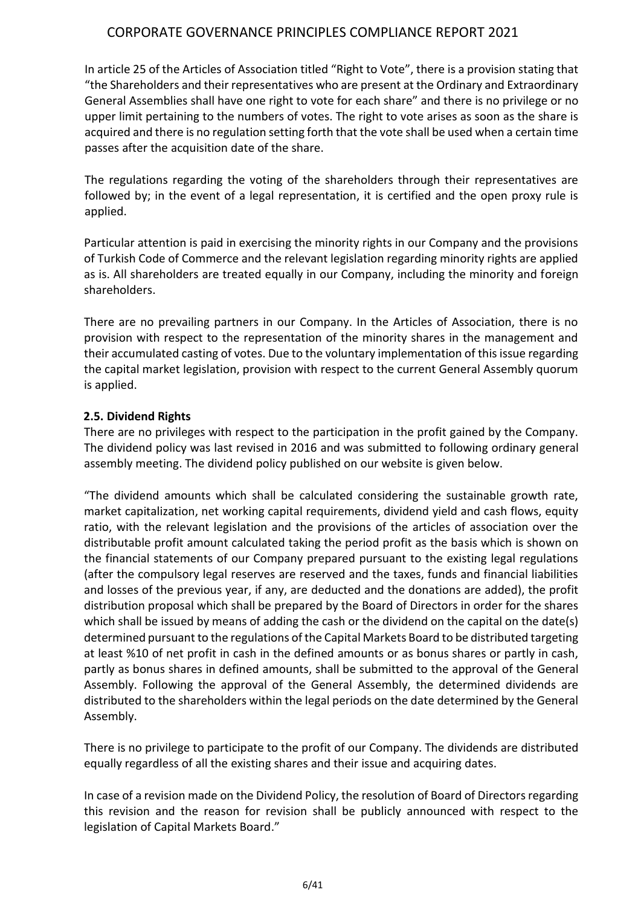In article 25 of the Articles of Association titled "Right to Vote", there is a provision stating that "the Shareholders and their representatives who are present at the Ordinary and Extraordinary General Assemblies shall have one right to vote for each share" and there is no privilege or no upper limit pertaining to the numbers of votes. The right to vote arises as soon as the share is acquired and there is no regulation setting forth that the vote shall be used when a certain time passes after the acquisition date of the share.

The regulations regarding the voting of the shareholders through their representatives are followed by; in the event of a legal representation, it is certified and the open proxy rule is applied.

Particular attention is paid in exercising the minority rights in our Company and the provisions of Turkish Code of Commerce and the relevant legislation regarding minority rights are applied as is. All shareholders are treated equally in our Company, including the minority and foreign shareholders.

There are no prevailing partners in our Company. In the Articles of Association, there is no provision with respect to the representation of the minority shares in the management and their accumulated casting of votes. Due to the voluntary implementation of this issue regarding the capital market legislation, provision with respect to the current General Assembly quorum is applied.

### **2.5. Dividend Rights**

There are no privileges with respect to the participation in the profit gained by the Company. The dividend policy was last revised in 2016 and was submitted to following ordinary general assembly meeting. The dividend policy published on our website is given below.

"The dividend amounts which shall be calculated considering the sustainable growth rate, market capitalization, net working capital requirements, dividend yield and cash flows, equity ratio, with the relevant legislation and the provisions of the articles of association over the distributable profit amount calculated taking the period profit as the basis which is shown on the financial statements of our Company prepared pursuant to the existing legal regulations (after the compulsory legal reserves are reserved and the taxes, funds and financial liabilities and losses of the previous year, if any, are deducted and the donations are added), the profit distribution proposal which shall be prepared by the Board of Directors in order for the shares which shall be issued by means of adding the cash or the dividend on the capital on the date(s) determined pursuant to the regulations of the Capital Markets Board to be distributed targeting at least %10 of net profit in cash in the defined amounts or as bonus shares or partly in cash, partly as bonus shares in defined amounts, shall be submitted to the approval of the General Assembly. Following the approval of the General Assembly, the determined dividends are distributed to the shareholders within the legal periods on the date determined by the General Assembly.

There is no privilege to participate to the profit of our Company. The dividends are distributed equally regardless of all the existing shares and their issue and acquiring dates.

In case of a revision made on the Dividend Policy, the resolution of Board of Directors regarding this revision and the reason for revision shall be publicly announced with respect to the legislation of Capital Markets Board."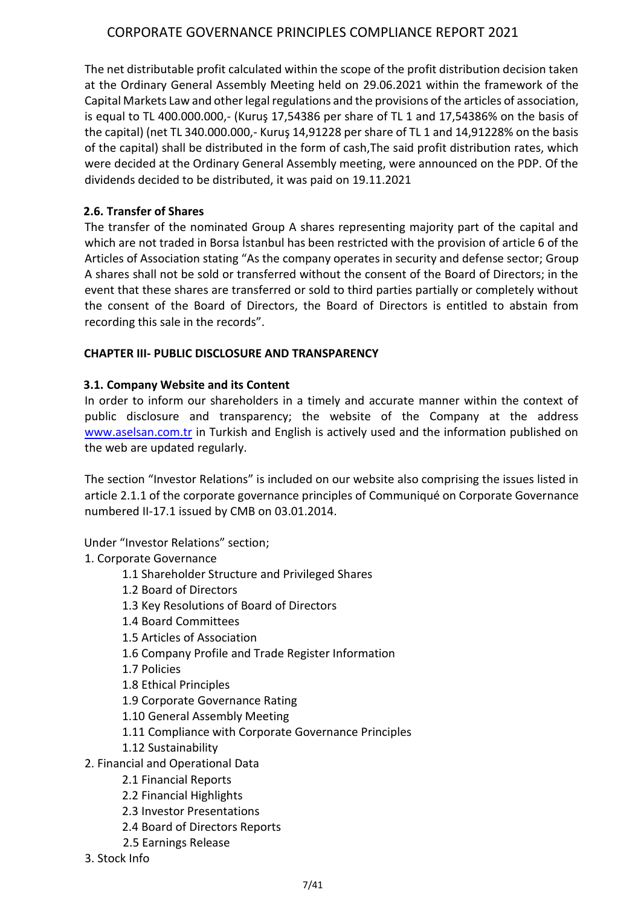The net distributable profit calculated within the scope of the profit distribution decision taken at the Ordinary General Assembly Meeting held on 29.06.2021 within the framework of the Capital Markets Law and other legal regulations and the provisions of the articles of association, is equal to TL 400.000.000,- (Kuruş 17,54386 per share of TL 1 and 17,54386% on the basis of the capital) (net TL 340.000.000,- Kuruş 14,91228 per share of TL 1 and 14,91228% on the basis of the capital) shall be distributed in the form of cash,The said profit distribution rates, which were decided at the Ordinary General Assembly meeting, were announced on the PDP. Of the dividends decided to be distributed, it was paid on 19.11.2021

## **2.6. Transfer of Shares**

The transfer of the nominated Group A shares representing majority part of the capital and which are not traded in Borsa İstanbul has been restricted with the provision of article 6 of the Articles of Association stating "As the company operates in security and defense sector; Group A shares shall not be sold or transferred without the consent of the Board of Directors; in the event that these shares are transferred or sold to third parties partially or completely without the consent of the Board of Directors, the Board of Directors is entitled to abstain from recording this sale in the records".

# **CHAPTER III- PUBLIC DISCLOSURE AND TRANSPARENCY**

# **3.1. Company Website and its Content**

In order to inform our shareholders in a timely and accurate manner within the context of public disclosure and transparency; the website of the Company at the address [www.aselsan.com.tr](http://www.aselsan.com.tr/) in Turkish and English is actively used and the information published on the web are updated regularly.

The section "Investor Relations" is included on our website also comprising the issues listed in article 2.1.1 of the corporate governance principles of Communiqué on Corporate Governance numbered II-17.1 issued by CMB on 03.01.2014.

### Under "Investor Relations" section;

### 1. Corporate Governance

- 1.1 Shareholder Structure and Privileged Shares
- 1.2 Board of Directors
- 1.3 Key Resolutions of Board of Directors
- 1.4 Board Committees
- 1.5 Articles of Association
- 1.6 Company Profile and Trade Register Information
- 1.7 Policies
- 1.8 Ethical Principles
- 1.9 Corporate Governance Rating
- 1.10 General Assembly Meeting
- 1.11 Compliance with Corporate Governance Principles
- 1.12 Sustainability
- 2. Financial and Operational Data
	- 2.1 Financial Reports
	- 2.2 Financial Highlights
	- 2.3 Investor Presentations
	- 2.4 Board of Directors Reports
	- 2.5 Earnings Release
- 3. Stock Info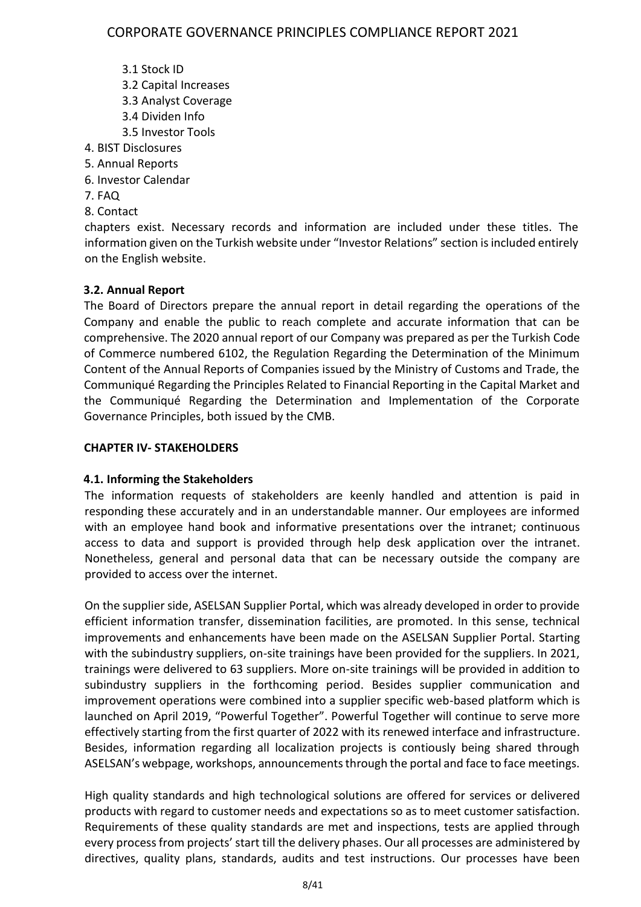- 3.1 Stock ID
- 3.2 Capital Increases
- 3.3 Analyst Coverage
- 3.4 Dividen Info
- 3.5 Investor Tools
- 4. BIST Disclosures
- 5. Annual Reports
- 6. Investor Calendar
- 7. FAQ
- 8. Contact

chapters exist. Necessary records and information are included under these titles. The information given on the Turkish website under "Investor Relations" section is included entirely on the English website.

# **3.2. Annual Report**

The Board of Directors prepare the annual report in detail regarding the operations of the Company and enable the public to reach complete and accurate information that can be comprehensive. The 2020 annual report of our Company was prepared as per the Turkish Code of Commerce numbered 6102, the Regulation Regarding the Determination of the Minimum Content of the Annual Reports of Companies issued by the Ministry of Customs and Trade, the Communiqué Regarding the Principles Related to Financial Reporting in the Capital Market and the Communiqué Regarding the Determination and Implementation of the Corporate Governance Principles, both issued by the CMB.

## **CHAPTER IV- STAKEHOLDERS**

# **4.1. Informing the Stakeholders**

The information requests of stakeholders are keenly handled and attention is paid in responding these accurately and in an understandable manner. Our employees are informed with an employee hand book and informative presentations over the intranet; continuous access to data and support is provided through help desk application over the intranet. Nonetheless, general and personal data that can be necessary outside the company are provided to access over the internet.

On the supplier side, ASELSAN Supplier Portal, which was already developed in order to provide efficient information transfer, dissemination facilities, are promoted. In this sense, technical improvements and enhancements have been made on the ASELSAN Supplier Portal. Starting with the subindustry suppliers, on-site trainings have been provided for the suppliers. In 2021, trainings were delivered to 63 suppliers. More on-site trainings will be provided in addition to subindustry suppliers in the forthcoming period. Besides supplier communication and improvement operations were combined into a supplier specific web-based platform which is launched on April 2019, "Powerful Together". Powerful Together will continue to serve more effectively starting from the first quarter of 2022 with its renewed interface and infrastructure. Besides, information regarding all localization projects is contiously being shared through ASELSAN's webpage, workshops, announcements through the portal and face to face meetings.

High quality standards and high technological solutions are offered for services or delivered products with regard to customer needs and expectations so as to meet customer satisfaction. Requirements of these quality standards are met and inspections, tests are applied through every process from projects' start till the delivery phases. Our all processes are administered by directives, quality plans, standards, audits and test instructions. Our processes have been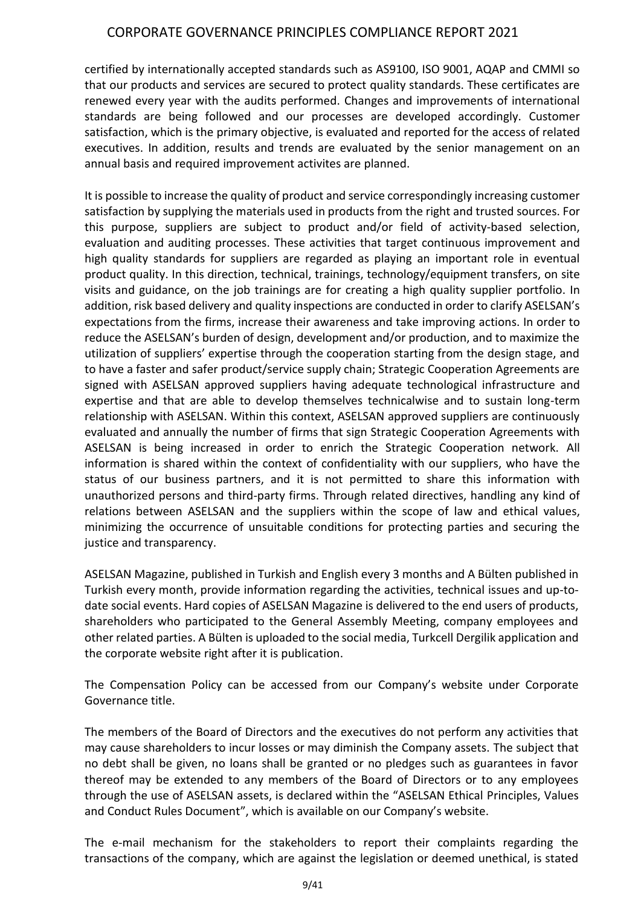certified by internationally accepted standards such as AS9100, ISO 9001, AQAP and CMMI so that our products and services are secured to protect quality standards. These certificates are renewed every year with the audits performed. Changes and improvements of international standards are being followed and our processes are developed accordingly. Customer satisfaction, which is the primary objective, is evaluated and reported for the access of related executives. In addition, results and trends are evaluated by the senior management on an annual basis and required improvement activites are planned.

It is possible to increase the quality of product and service correspondingly increasing customer satisfaction by supplying the materials used in products from the right and trusted sources. For this purpose, suppliers are subject to product and/or field of activity-based selection, evaluation and auditing processes. These activities that target continuous improvement and high quality standards for suppliers are regarded as playing an important role in eventual product quality. In this direction, technical, trainings, technology/equipment transfers, on site visits and guidance, on the job trainings are for creating a high quality supplier portfolio. In addition, risk based delivery and quality inspections are conducted in order to clarify ASELSAN's expectations from the firms, increase their awareness and take improving actions. In order to reduce the ASELSAN's burden of design, development and/or production, and to maximize the utilization of suppliers' expertise through the cooperation starting from the design stage, and to have a faster and safer product/service supply chain; Strategic Cooperation Agreements are signed with ASELSAN approved suppliers having adequate technological infrastructure and expertise and that are able to develop themselves technicalwise and to sustain long-term relationship with ASELSAN. Within this context, ASELSAN approved suppliers are continuously evaluated and annually the number of firms that sign Strategic Cooperation Agreements with ASELSAN is being increased in order to enrich the Strategic Cooperation network. All information is shared within the context of confidentiality with our suppliers, who have the status of our business partners, and it is not permitted to share this information with unauthorized persons and third-party firms. Through related directives, handling any kind of relations between ASELSAN and the suppliers within the scope of law and ethical values, minimizing the occurrence of unsuitable conditions for protecting parties and securing the justice and transparency.

ASELSAN Magazine, published in Turkish and English every 3 months and A Bülten published in Turkish every month, provide information regarding the activities, technical issues and up-todate social events. Hard copies of ASELSAN Magazine is delivered to the end users of products, shareholders who participated to the General Assembly Meeting, company employees and other related parties. A Bülten is uploaded to the social media, Turkcell Dergilik application and the corporate website right after it is publication.

The Compensation Policy can be accessed from our Company's website under Corporate Governance title.

The members of the Board of Directors and the executives do not perform any activities that may cause shareholders to incur losses or may diminish the Company assets. The subject that no debt shall be given, no loans shall be granted or no pledges such as guarantees in favor thereof may be extended to any members of the Board of Directors or to any employees through the use of ASELSAN assets, is declared within the "ASELSAN Ethical Principles, Values and Conduct Rules Document", which is available on our Company's website.

The e-mail mechanism for the stakeholders to report their complaints regarding the transactions of the company, which are against the legislation or deemed unethical, is stated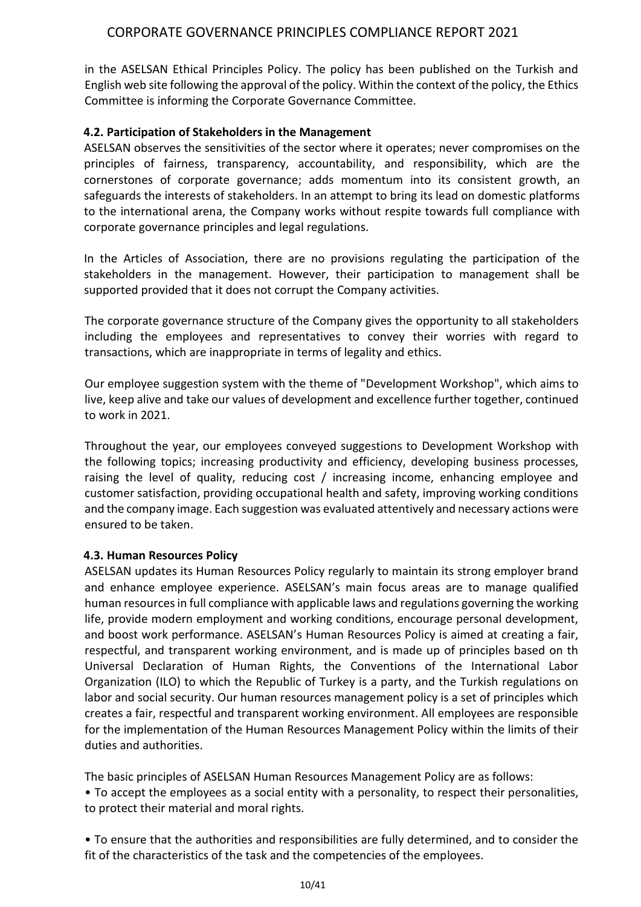in the ASELSAN Ethical Principles Policy. The policy has been published on the Turkish and English web site following the approval of the policy. Within the context of the policy, the Ethics Committee is informing the Corporate Governance Committee.

### **4.2. Participation of Stakeholders in the Management**

ASELSAN observes the sensitivities of the sector where it operates; never compromises on the principles of fairness, transparency, accountability, and responsibility, which are the cornerstones of corporate governance; adds momentum into its consistent growth, an safeguards the interests of stakeholders. In an attempt to bring its lead on domestic platforms to the international arena, the Company works without respite towards full compliance with corporate governance principles and legal regulations.

In the Articles of Association, there are no provisions regulating the participation of the stakeholders in the management. However, their participation to management shall be supported provided that it does not corrupt the Company activities.

The corporate governance structure of the Company gives the opportunity to all stakeholders including the employees and representatives to convey their worries with regard to transactions, which are inappropriate in terms of legality and ethics.

Our employee suggestion system with the theme of "Development Workshop", which aims to live, keep alive and take our values of development and excellence further together, continued to work in 2021.

Throughout the year, our employees conveyed suggestions to Development Workshop with the following topics; increasing productivity and efficiency, developing business processes, raising the level of quality, reducing cost / increasing income, enhancing employee and customer satisfaction, providing occupational health and safety, improving working conditions and the company image. Each suggestion was evaluated attentively and necessary actions were ensured to be taken.

### **4.3. Human Resources Policy**

ASELSAN updates its Human Resources Policy regularly to maintain its strong employer brand and enhance employee experience. ASELSAN's main focus areas are to manage qualified human resources in full compliance with applicable laws and regulations governing the working life, provide modern employment and working conditions, encourage personal development, and boost work performance. ASELSAN's Human Resources Policy is aimed at creating a fair, respectful, and transparent working environment, and is made up of principles based on th Universal Declaration of Human Rights, the Conventions of the International Labor Organization (ILO) to which the Republic of Turkey is a party, and the Turkish regulations on labor and social security. Our human resources management policy is a set of principles which creates a fair, respectful and transparent working environment. All employees are responsible for the implementation of the Human Resources Management Policy within the limits of their duties and authorities.

The basic principles of ASELSAN Human Resources Management Policy are as follows: • To accept the employees as a social entity with a personality, to respect their personalities, to protect their material and moral rights.

• To ensure that the authorities and responsibilities are fully determined, and to consider the fit of the characteristics of the task and the competencies of the employees.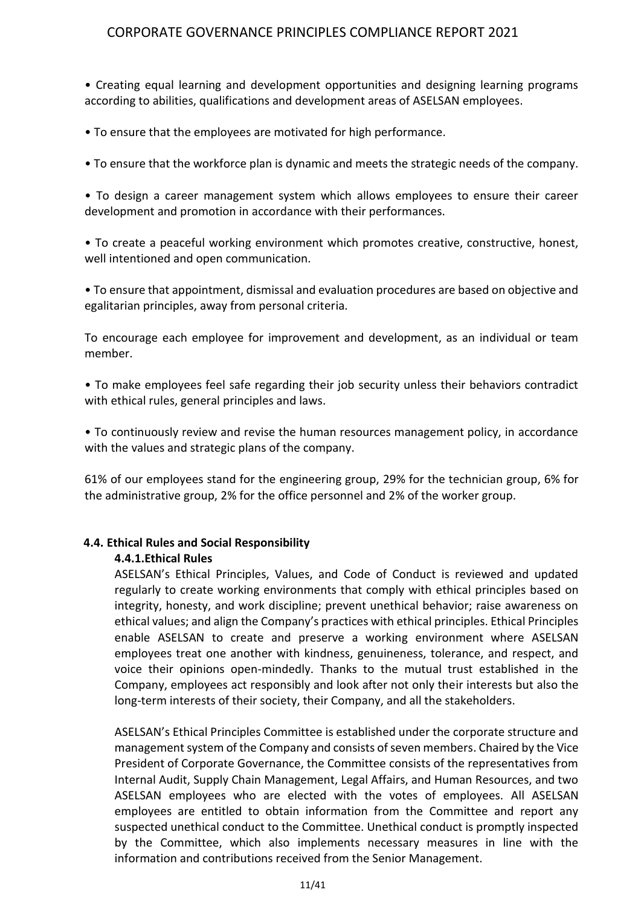• Creating equal learning and development opportunities and designing learning programs according to abilities, qualifications and development areas of ASELSAN employees.

• To ensure that the employees are motivated for high performance.

• To ensure that the workforce plan is dynamic and meets the strategic needs of the company.

• To design a career management system which allows employees to ensure their career development and promotion in accordance with their performances.

• To create a peaceful working environment which promotes creative, constructive, honest, well intentioned and open communication.

• To ensure that appointment, dismissal and evaluation procedures are based on objective and egalitarian principles, away from personal criteria.

To encourage each employee for improvement and development, as an individual or team member.

• To make employees feel safe regarding their job security unless their behaviors contradict with ethical rules, general principles and laws.

• To continuously review and revise the human resources management policy, in accordance with the values and strategic plans of the company.

61% of our employees stand for the engineering group, 29% for the technician group, 6% for the administrative group, 2% for the office personnel and 2% of the worker group.

#### **4.4. Ethical Rules and Social Responsibility**

#### **4.4.1.Ethical Rules**

ASELSAN's Ethical Principles, Values, and Code of Conduct is reviewed and updated regularly to create working environments that comply with ethical principles based on integrity, honesty, and work discipline; prevent unethical behavior; raise awareness on ethical values; and align the Company's practices with ethical principles. Ethical Principles enable ASELSAN to create and preserve a working environment where ASELSAN employees treat one another with kindness, genuineness, tolerance, and respect, and voice their opinions open-mindedly. Thanks to the mutual trust established in the Company, employees act responsibly and look after not only their interests but also the long-term interests of their society, their Company, and all the stakeholders.

ASELSAN's Ethical Principles Committee is established under the corporate structure and management system of the Company and consists of seven members. Chaired by the Vice President of Corporate Governance, the Committee consists of the representatives from Internal Audit, Supply Chain Management, Legal Affairs, and Human Resources, and two ASELSAN employees who are elected with the votes of employees. All ASELSAN employees are entitled to obtain information from the Committee and report any suspected unethical conduct to the Committee. Unethical conduct is promptly inspected by the Committee, which also implements necessary measures in line with the information and contributions received from the Senior Management.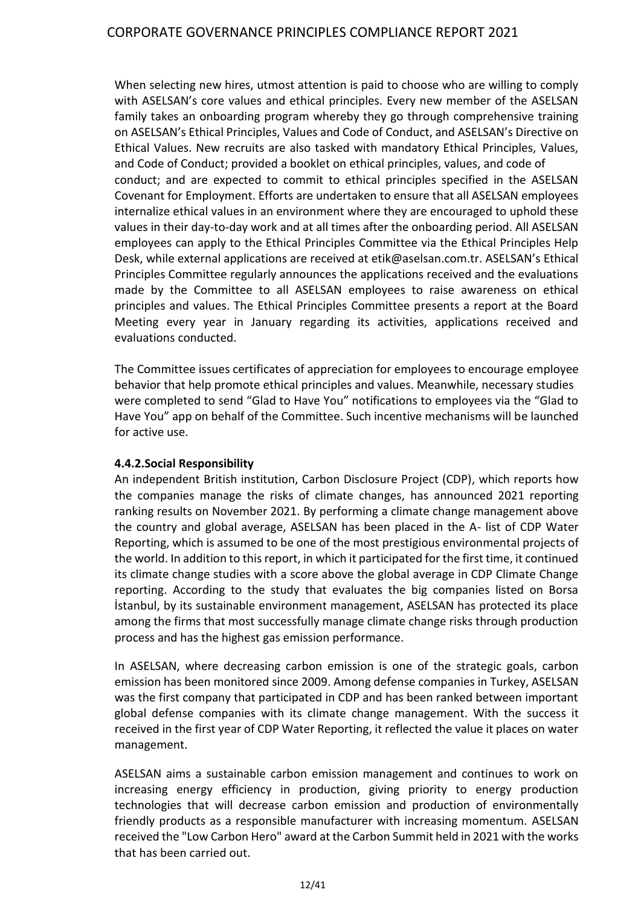When selecting new hires, utmost attention is paid to choose who are willing to comply with ASELSAN's core values and ethical principles. Every new member of the ASELSAN family takes an onboarding program whereby they go through comprehensive training on ASELSAN's Ethical Principles, Values and Code of Conduct, and ASELSAN's Directive on Ethical Values. New recruits are also tasked with mandatory Ethical Principles, Values, and Code of Conduct; provided a booklet on ethical principles, values, and code of conduct; and are expected to commit to ethical principles specified in the ASELSAN Covenant for Employment. Efforts are undertaken to ensure that all ASELSAN employees internalize ethical values in an environment where they are encouraged to uphold these values in their day-to-day work and at all times after the onboarding period. All ASELSAN employees can apply to the Ethical Principles Committee via the Ethical Principles Help Desk, while external applications are received at etik@aselsan.com.tr. ASELSAN's Ethical Principles Committee regularly announces the applications received and the evaluations made by the Committee to all ASELSAN employees to raise awareness on ethical principles and values. The Ethical Principles Committee presents a report at the Board Meeting every year in January regarding its activities, applications received and evaluations conducted.

The Committee issues certificates of appreciation for employees to encourage employee behavior that help promote ethical principles and values. Meanwhile, necessary studies were completed to send "Glad to Have You" notifications to employees via the "Glad to Have You" app on behalf of the Committee. Such incentive mechanisms will be launched for active use.

### **4.4.2.Social Responsibility**

An independent British institution, Carbon Disclosure Project (CDP), which reports how the companies manage the risks of climate changes, has announced 2021 reporting ranking results on November 2021. By performing a climate change management above the country and global average, ASELSAN has been placed in the A- list of CDP Water Reporting, which is assumed to be one of the most prestigious environmental projects of the world. In addition to this report, in which it participated for the first time, it continued its climate change studies with a score above the global average in CDP Climate Change reporting. According to the study that evaluates the big companies listed on Borsa İstanbul, by its sustainable environment management, ASELSAN has protected its place among the firms that most successfully manage climate change risks through production process and has the highest gas emission performance.

In ASELSAN, where decreasing carbon emission is one of the strategic goals, carbon emission has been monitored since 2009. Among defense companies in Turkey, ASELSAN was the first company that participated in CDP and has been ranked between important global defense companies with its climate change management. With the success it received in the first year of CDP Water Reporting, it reflected the value it places on water management.

ASELSAN aims a sustainable carbon emission management and continues to work on increasing energy efficiency in production, giving priority to energy production technologies that will decrease carbon emission and production of environmentally friendly products as a responsible manufacturer with increasing momentum. ASELSAN received the "Low Carbon Hero" award at the Carbon Summit held in 2021 with the works that has been carried out.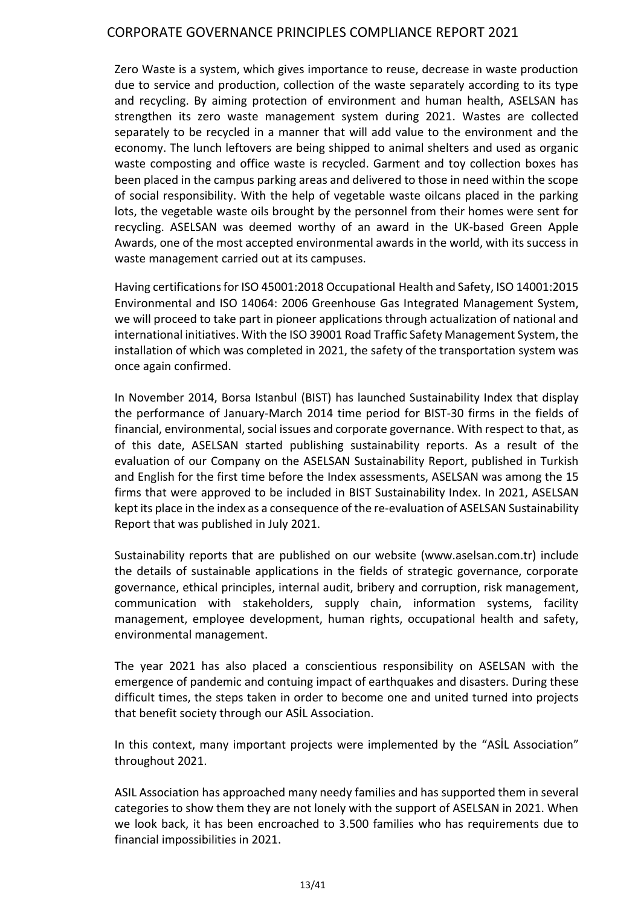Zero Waste is a system, which gives importance to reuse, decrease in waste production due to service and production, collection of the waste separately according to its type and recycling. By aiming protection of environment and human health, ASELSAN has strengthen its zero waste management system during 2021. Wastes are collected separately to be recycled in a manner that will add value to the environment and the economy. The lunch leftovers are being shipped to animal shelters and used as organic waste composting and office waste is recycled. Garment and toy collection boxes has been placed in the campus parking areas and delivered to those in need within the scope of social responsibility. With the help of vegetable waste oilcans placed in the parking lots, the vegetable waste oils brought by the personnel from their homes were sent for recycling. ASELSAN was deemed worthy of an award in the UK-based Green Apple Awards, one of the most accepted environmental awards in the world, with its success in waste management carried out at its campuses.

Having certifications for ISO 45001:2018 Occupational Health and Safety, ISO 14001:2015 Environmental and ISO 14064: 2006 Greenhouse Gas Integrated Management System, we will proceed to take part in pioneer applications through actualization of national and international initiatives. With the ISO 39001 Road Traffic Safety Management System, the installation of which was completed in 2021, the safety of the transportation system was once again confirmed.

In November 2014, Borsa Istanbul (BIST) has launched Sustainability Index that display the performance of January-March 2014 time period for BIST-30 firms in the fields of financial, environmental, social issues and corporate governance. With respect to that, as of this date, ASELSAN started publishing sustainability reports. As a result of the evaluation of our Company on the ASELSAN Sustainability Report, published in Turkish and English for the first time before the Index assessments, ASELSAN was among the 15 firms that were approved to be included in BIST Sustainability Index. In 2021, ASELSAN kept its place in the index as a consequence of the re-evaluation of ASELSAN Sustainability Report that was published in July 2021.

Sustainability reports that are published on our website (www.aselsan.com.tr) include the details of sustainable applications in the fields of strategic governance, corporate governance, ethical principles, internal audit, bribery and corruption, risk management, communication with stakeholders, supply chain, information systems, facility management, employee development, human rights, occupational health and safety, environmental management.

The year 2021 has also placed a conscientious responsibility on ASELSAN with the emergence of pandemic and contuing impact of earthquakes and disasters. During these difficult times, the steps taken in order to become one and united turned into projects that benefit society through our ASİL Association.

In this context, many important projects were implemented by the "ASİL Association" throughout 2021.

ASIL Association has approached many needy families and has supported them in several categories to show them they are not lonely with the support of ASELSAN in 2021. When we look back, it has been encroached to 3.500 families who has requirements due to financial impossibilities in 2021.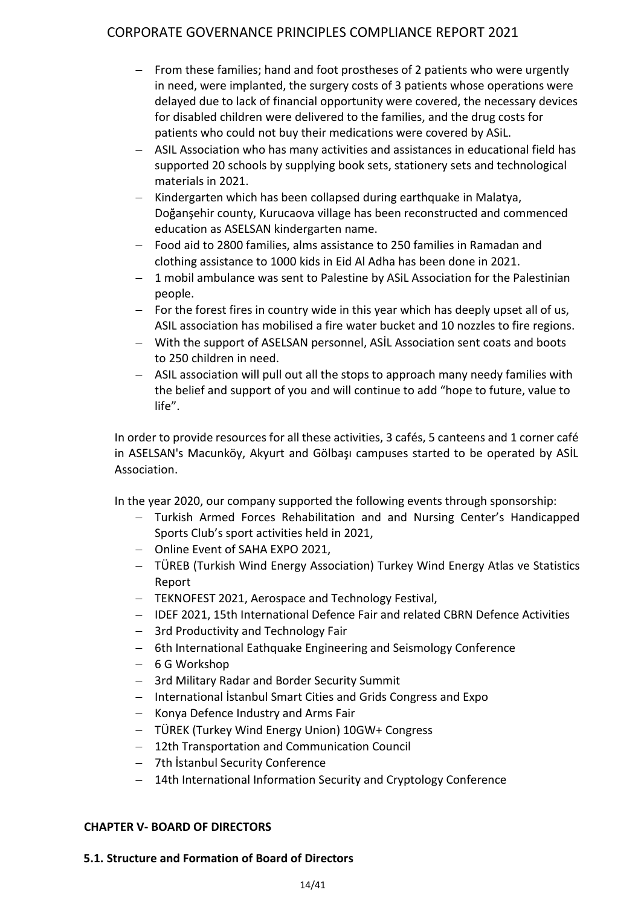- From these families; hand and foot prostheses of 2 patients who were urgently in need, were implanted, the surgery costs of 3 patients whose operations were delayed due to lack of financial opportunity were covered, the necessary devices for disabled children were delivered to the families, and the drug costs for patients who could not buy their medications were covered by ASiL.
- − ASIL Association who has many activities and assistances in educational field has supported 20 schools by supplying book sets, stationery sets and technological materials in 2021.
- − Kindergarten which has been collapsed during earthquake in Malatya, Doğanşehir county, Kurucaova village has been reconstructed and commenced education as ASELSAN kindergarten name.
- − Food aid to 2800 families, alms assistance to 250 families in Ramadan and clothing assistance to 1000 kids in Eid Al Adha has been done in 2021.
- 1 mobil ambulance was sent to Palestine by ASiL Association for the Palestinian people.
- − For the forest fires in country wide in this year which has deeply upset all of us, ASIL association has mobilised a fire water bucket and 10 nozzles to fire regions.
- − With the support of ASELSAN personnel, ASİL Association sent coats and boots to 250 children in need.
- − ASIL association will pull out all the stops to approach many needy families with the belief and support of you and will continue to add "hope to future, value to life".

In order to provide resources for all these activities, 3 cafés, 5 canteens and 1 corner café in ASELSAN's Macunköy, Akyurt and Gölbaşı campuses started to be operated by ASİL Association.

In the year 2020, our company supported the following events through sponsorship:

- − Turkish Armed Forces Rehabilitation and and Nursing Center's Handicapped Sports Club's sport activities held in 2021,
- − Online Event of SAHA EXPO 2021,
- − TÜREB (Turkish Wind Energy Association) Turkey Wind Energy Atlas ve Statistics Report
- − TEKNOFEST 2021, Aerospace and Technology Festival,
- − IDEF 2021, 15th International Defence Fair and related CBRN Defence Activities
- − 3rd Productivity and Technology Fair
- − 6th International Eathquake Engineering and Seismology Conference
- − 6 G Workshop
- − 3rd Military Radar and Border Security Summit
- − International İstanbul Smart Cities and Grids Congress and Expo
- − Konya Defence Industry and Arms Fair
- − TÜREK (Turkey Wind Energy Union) 10GW+ Congress
- − 12th Transportation and Communication Council
- − 7th İstanbul Security Conference
- − 14th International Information Security and Cryptology Conference

### **CHAPTER V- BOARD OF DIRECTORS**

### **5.1. Structure and Formation of Board of Directors**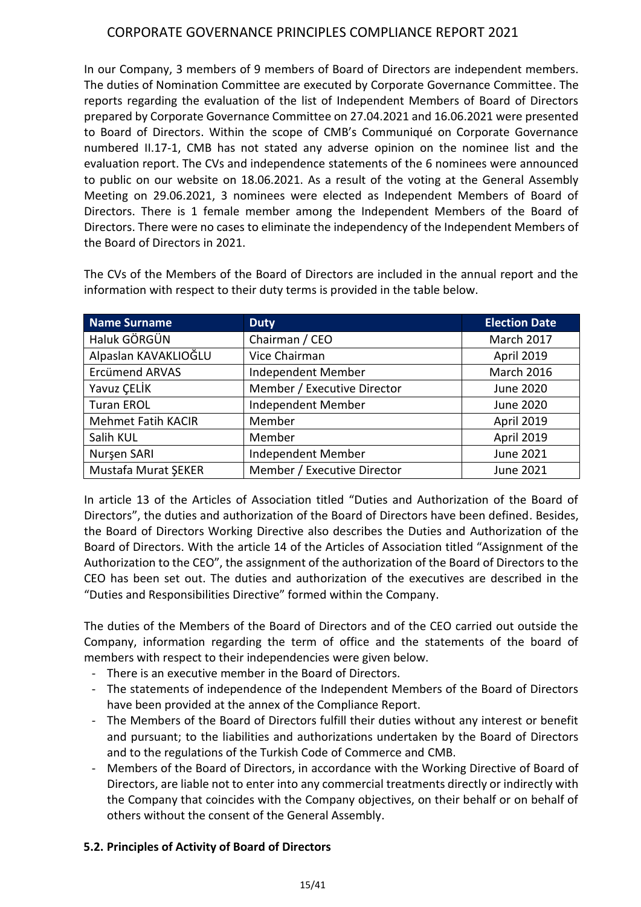In our Company, 3 members of 9 members of Board of Directors are independent members. The duties of Nomination Committee are executed by Corporate Governance Committee. The reports regarding the evaluation of the list of Independent Members of Board of Directors prepared by Corporate Governance Committee on 27.04.2021 and 16.06.2021 were presented to Board of Directors. Within the scope of CMB's Communiqué on Corporate Governance numbered II.17-1, CMB has not stated any adverse opinion on the nominee list and the evaluation report. The CVs and independence statements of the 6 nominees were announced to public on our website on 18.06.2021. As a result of the voting at the General Assembly Meeting on 29.06.2021, 3 nominees were elected as Independent Members of Board of Directors. There is 1 female member among the Independent Members of the Board of Directors. There were no cases to eliminate the independency of the Independent Members of the Board of Directors in 2021.

| Name Surname              | <b>Duty</b>                 | <b>Election Date</b> |
|---------------------------|-----------------------------|----------------------|
| Haluk GÖRGÜN              | Chairman / CEO              | <b>March 2017</b>    |
| Alpaslan KAVAKLIOĞLU      | Vice Chairman               | April 2019           |
| Ercümend ARVAS            | Independent Member          | <b>March 2016</b>    |
| Yavuz ÇELİK               | Member / Executive Director | <b>June 2020</b>     |
| <b>Turan EROL</b>         | Independent Member          | June 2020            |
| <b>Mehmet Fatih KACIR</b> | Member                      | April 2019           |
| Salih KUL                 | Member                      | April 2019           |
| Nurşen SARI               | Independent Member          | <b>June 2021</b>     |
| Mustafa Murat ŞEKER       | Member / Executive Director | June 2021            |

The CVs of the Members of the Board of Directors are included in the annual report and the information with respect to their duty terms is provided in the table below.

In article 13 of the Articles of Association titled "Duties and Authorization of the Board of Directors", the duties and authorization of the Board of Directors have been defined. Besides, the Board of Directors Working Directive also describes the Duties and Authorization of the Board of Directors. With the article 14 of the Articles of Association titled "Assignment of the Authorization to the CEO", the assignment of the authorization of the Board of Directors to the CEO has been set out. The duties and authorization of the executives are described in the "Duties and Responsibilities Directive" formed within the Company.

The duties of the Members of the Board of Directors and of the CEO carried out outside the Company, information regarding the term of office and the statements of the board of members with respect to their independencies were given below.

- There is an executive member in the Board of Directors.
- The statements of independence of the Independent Members of the Board of Directors have been provided at the annex of the Compliance Report.
- The Members of the Board of Directors fulfill their duties without any interest or benefit and pursuant; to the liabilities and authorizations undertaken by the Board of Directors and to the regulations of the Turkish Code of Commerce and CMB.
- Members of the Board of Directors, in accordance with the Working Directive of Board of Directors, are liable not to enter into any commercial treatments directly or indirectly with the Company that coincides with the Company objectives, on their behalf or on behalf of others without the consent of the General Assembly.

# **5.2. Principles of Activity of Board of Directors**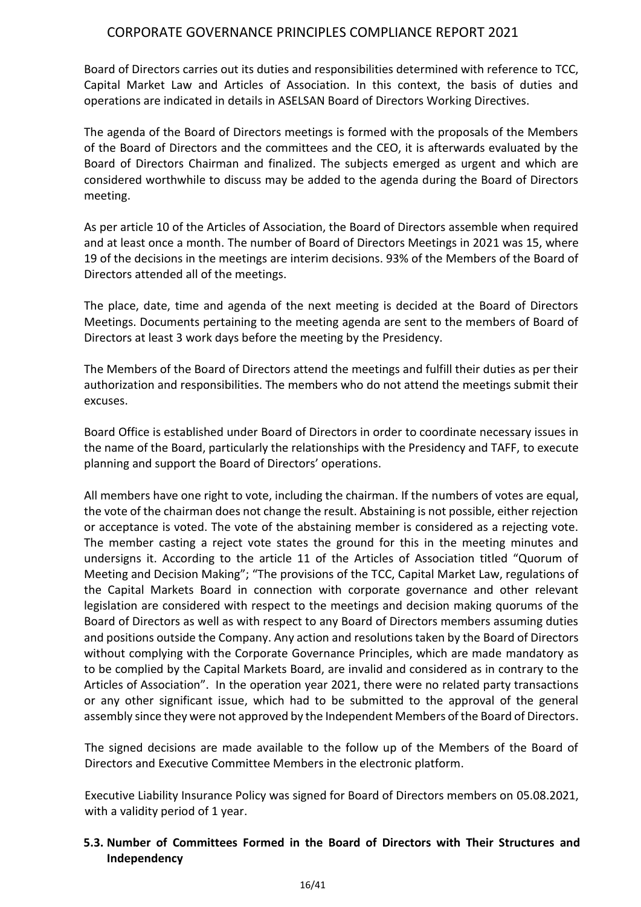Board of Directors carries out its duties and responsibilities determined with reference to TCC, Capital Market Law and Articles of Association. In this context, the basis of duties and operations are indicated in details in ASELSAN Board of Directors Working Directives.

The agenda of the Board of Directors meetings is formed with the proposals of the Members of the Board of Directors and the committees and the CEO, it is afterwards evaluated by the Board of Directors Chairman and finalized. The subjects emerged as urgent and which are considered worthwhile to discuss may be added to the agenda during the Board of Directors meeting.

As per article 10 of the Articles of Association, the Board of Directors assemble when required and at least once a month. The number of Board of Directors Meetings in 2021 was 15, where 19 of the decisions in the meetings are interim decisions. 93% of the Members of the Board of Directors attended all of the meetings.

The place, date, time and agenda of the next meeting is decided at the Board of Directors Meetings. Documents pertaining to the meeting agenda are sent to the members of Board of Directors at least 3 work days before the meeting by the Presidency.

The Members of the Board of Directors attend the meetings and fulfill their duties as per their authorization and responsibilities. The members who do not attend the meetings submit their excuses.

Board Office is established under Board of Directors in order to coordinate necessary issues in the name of the Board, particularly the relationships with the Presidency and TAFF, to execute planning and support the Board of Directors' operations.

All members have one right to vote, including the chairman. If the numbers of votes are equal, the vote of the chairman does not change the result. Abstaining is not possible, either rejection or acceptance is voted. The vote of the abstaining member is considered as a rejecting vote. The member casting a reject vote states the ground for this in the meeting minutes and undersigns it. According to the article 11 of the Articles of Association titled "Quorum of Meeting and Decision Making"; "The provisions of the TCC, Capital Market Law, regulations of the Capital Markets Board in connection with corporate governance and other relevant legislation are considered with respect to the meetings and decision making quorums of the Board of Directors as well as with respect to any Board of Directors members assuming duties and positions outside the Company. Any action and resolutions taken by the Board of Directors without complying with the Corporate Governance Principles, which are made mandatory as to be complied by the Capital Markets Board, are invalid and considered as in contrary to the Articles of Association". In the operation year 2021, there were no related party transactions or any other significant issue, which had to be submitted to the approval of the general assembly since they were not approved by the Independent Members of the Board of Directors.

The signed decisions are made available to the follow up of the Members of the Board of Directors and Executive Committee Members in the electronic platform.

Executive Liability Insurance Policy was signed for Board of Directors members on 05.08.2021, with a validity period of 1 year.

# **5.3. Number of Committees Formed in the Board of Directors with Their Structures and Independency**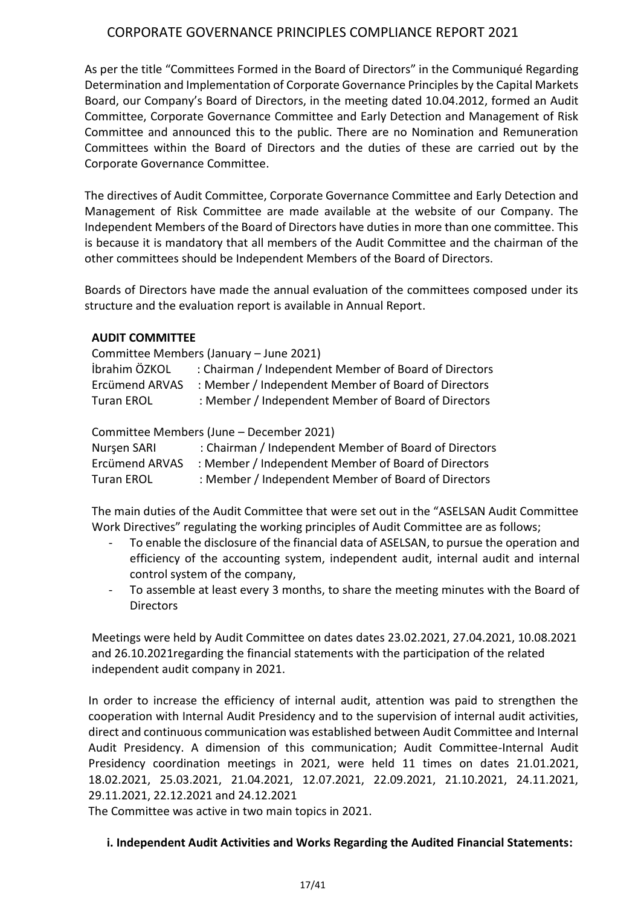As per the title "Committees Formed in the Board of Directors" in the Communiqué Regarding Determination and Implementation of Corporate Governance Principles by the Capital Markets Board, our Company's Board of Directors, in the meeting dated 10.04.2012, formed an Audit Committee, Corporate Governance Committee and Early Detection and Management of Risk Committee and announced this to the public. There are no Nomination and Remuneration Committees within the Board of Directors and the duties of these are carried out by the Corporate Governance Committee.

The directives of Audit Committee, Corporate Governance Committee and Early Detection and Management of Risk Committee are made available at the website of our Company. The Independent Members of the Board of Directors have duties in more than one committee. This is because it is mandatory that all members of the Audit Committee and the chairman of the other committees should be Independent Members of the Board of Directors.

Boards of Directors have made the annual evaluation of the committees composed under its structure and the evaluation report is available in Annual Report.

### **AUDIT COMMITTEE**

|                | Committee Members (January - June 2021)               |
|----------------|-------------------------------------------------------|
| İbrahim ÖZKOL  | : Chairman / Independent Member of Board of Directors |
| Ercümend ARVAS | : Member / Independent Member of Board of Directors   |
| Turan EROL     | : Member / Independent Member of Board of Directors   |
|                |                                                       |

Committee Members (June – December 2021)

| Nursen SARI       | : Chairman / Independent Member of Board of Directors |
|-------------------|-------------------------------------------------------|
| Ercümend ARVAS    | : Member / Independent Member of Board of Directors   |
| <b>Turan EROL</b> | : Member / Independent Member of Board of Directors   |

The main duties of the Audit Committee that were set out in the "ASELSAN Audit Committee Work Directives" regulating the working principles of Audit Committee are as follows;

- To enable the disclosure of the financial data of ASELSAN, to pursue the operation and efficiency of the accounting system, independent audit, internal audit and internal control system of the company,
- To assemble at least every 3 months, to share the meeting minutes with the Board of **Directors**

Meetings were held by Audit Committee on dates dates 23.02.2021, 27.04.2021, 10.08.2021 and 26.10.2021regarding the financial statements with the participation of the related independent audit company in 2021.

In order to increase the efficiency of internal audit, attention was paid to strengthen the cooperation with Internal Audit Presidency and to the supervision of internal audit activities, direct and continuous communication was established between Audit Committee and Internal Audit Presidency. A dimension of this communication; Audit Committee-Internal Audit Presidency coordination meetings in 2021, were held 11 times on dates 21.01.2021, 18.02.2021, 25.03.2021, 21.04.2021, 12.07.2021, 22.09.2021, 21.10.2021, 24.11.2021, 29.11.2021, 22.12.2021 and 24.12.2021

The Committee was active in two main topics in 2021.

### **i. Independent Audit Activities and Works Regarding the Audited Financial Statements:**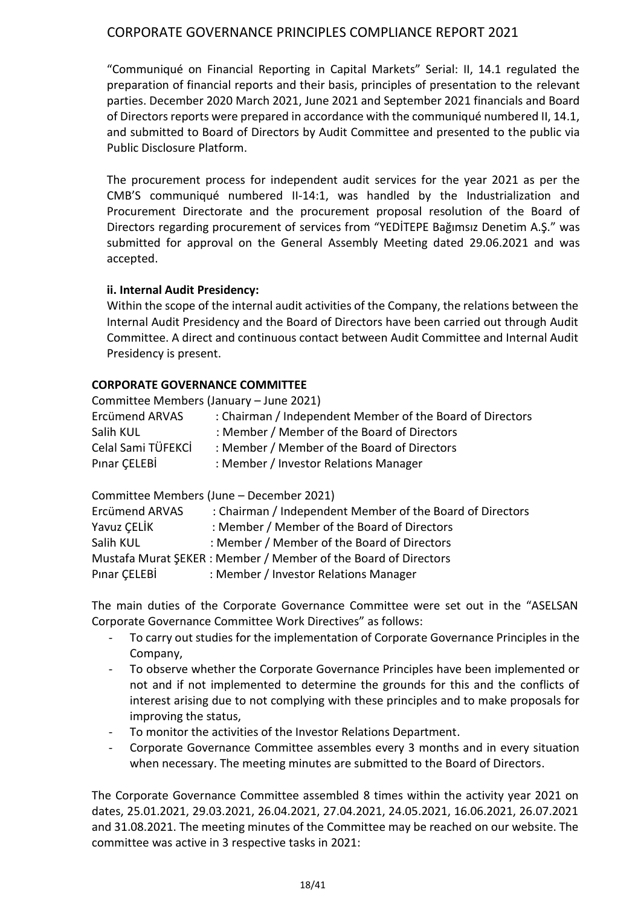"Communiqué on Financial Reporting in Capital Markets" Serial: II, 14.1 regulated the preparation of financial reports and their basis, principles of presentation to the relevant parties. December 2020 March 2021, June 2021 and September 2021 financials and Board of Directors reports were prepared in accordance with the communiqué numbered II, 14.1, and submitted to Board of Directors by Audit Committee and presented to the public via Public Disclosure Platform.

The procurement process for independent audit services for the year 2021 as per the CMB'S communiqué numbered II-14:1, was handled by the Industrialization and Procurement Directorate and the procurement proposal resolution of the Board of Directors regarding procurement of services from "YEDİTEPE Bağımsız Denetim A.Ş." was submitted for approval on the General Assembly Meeting dated 29.06.2021 and was accepted.

### **ii. Internal Audit Presidency:**

Within the scope of the internal audit activities of the Company, the relations between the Internal Audit Presidency and the Board of Directors have been carried out through Audit Committee. A direct and continuous contact between Audit Committee and Internal Audit Presidency is present.

#### **CORPORATE GOVERNANCE COMMITTEE**

|                    | Committee Members (January – June 2021)                   |
|--------------------|-----------------------------------------------------------|
| Ercümend ARVAS     | : Chairman / Independent Member of the Board of Directors |
| Salih KUL          | : Member / Member of the Board of Directors               |
| Celal Sami TÜFEKCİ | : Member / Member of the Board of Directors               |
| Pınar ÇELEBİ       | : Member / Investor Relations Manager                     |

Committee Members (June – December 2021)

| Ercümend ARVAS | : Chairman / Independent Member of the Board of Directors      |
|----------------|----------------------------------------------------------------|
| Yavuz ÇELİK    | : Member / Member of the Board of Directors                    |
| Salih KUL      | : Member / Member of the Board of Directors                    |
|                | Mustafa Murat SEKER: Member / Member of the Board of Directors |
| Pinar CELEBİ   | : Member / Investor Relations Manager                          |
|                |                                                                |

The main duties of the Corporate Governance Committee were set out in the "ASELSAN Corporate Governance Committee Work Directives" as follows:

- To carry out studies for the implementation of Corporate Governance Principles in the Company,
- To observe whether the Corporate Governance Principles have been implemented or not and if not implemented to determine the grounds for this and the conflicts of interest arising due to not complying with these principles and to make proposals for improving the status,
- To monitor the activities of the Investor Relations Department.
- Corporate Governance Committee assembles every 3 months and in every situation when necessary. The meeting minutes are submitted to the Board of Directors.

The Corporate Governance Committee assembled 8 times within the activity year 2021 on dates, 25.01.2021, 29.03.2021, 26.04.2021, 27.04.2021, 24.05.2021, 16.06.2021, 26.07.2021 and 31.08.2021. The meeting minutes of the Committee may be reached on our website. The committee was active in 3 respective tasks in 2021: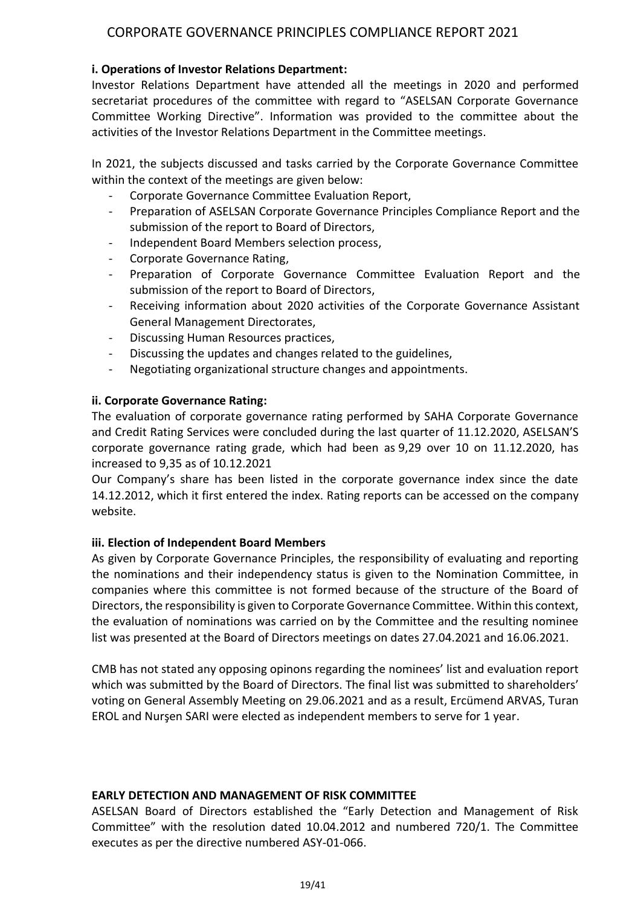### **i. Operations of Investor Relations Department:**

Investor Relations Department have attended all the meetings in 2020 and performed secretariat procedures of the committee with regard to "ASELSAN Corporate Governance Committee Working Directive". Information was provided to the committee about the activities of the Investor Relations Department in the Committee meetings.

In 2021, the subjects discussed and tasks carried by the Corporate Governance Committee within the context of the meetings are given below:

- Corporate Governance Committee Evaluation Report,
- Preparation of ASELSAN Corporate Governance Principles Compliance Report and the submission of the report to Board of Directors,
- Independent Board Members selection process,
- Corporate Governance Rating,
- Preparation of Corporate Governance Committee Evaluation Report and the submission of the report to Board of Directors,
- Receiving information about 2020 activities of the Corporate Governance Assistant General Management Directorates,
- Discussing Human Resources practices,
- Discussing the updates and changes related to the guidelines,
- Negotiating organizational structure changes and appointments.

#### **ii. Corporate Governance Rating:**

The evaluation of corporate governance rating performed by SAHA Corporate Governance and Credit Rating Services were concluded during the last quarter of 11.12.2020, ASELSAN'S corporate governance rating grade, which had been as 9,29 over 10 on 11.12.2020, has increased to 9,35 as of 10.12.2021

Our Company's share has been listed in the corporate governance index since the date 14.12.2012, which it first entered the index. Rating reports can be accessed on the company website.

#### **iii. Election of Independent Board Members**

As given by Corporate Governance Principles, the responsibility of evaluating and reporting the nominations and their independency status is given to the Nomination Committee, in companies where this committee is not formed because of the structure of the Board of Directors, the responsibility is given to Corporate Governance Committee. Within this context, the evaluation of nominations was carried on by the Committee and the resulting nominee list was presented at the Board of Directors meetings on dates 27.04.2021 and 16.06.2021.

CMB has not stated any opposing opinons regarding the nominees' list and evaluation report which was submitted by the Board of Directors. The final list was submitted to shareholders' voting on General Assembly Meeting on 29.06.2021 and as a result, Ercümend ARVAS, Turan EROL and Nurşen SARI were elected as independent members to serve for 1 year.

#### **EARLY DETECTION AND MANAGEMENT OF RISK COMMITTEE**

ASELSAN Board of Directors established the "Early Detection and Management of Risk Committee" with the resolution dated 10.04.2012 and numbered 720/1. The Committee executes as per the directive numbered ASY-01-066.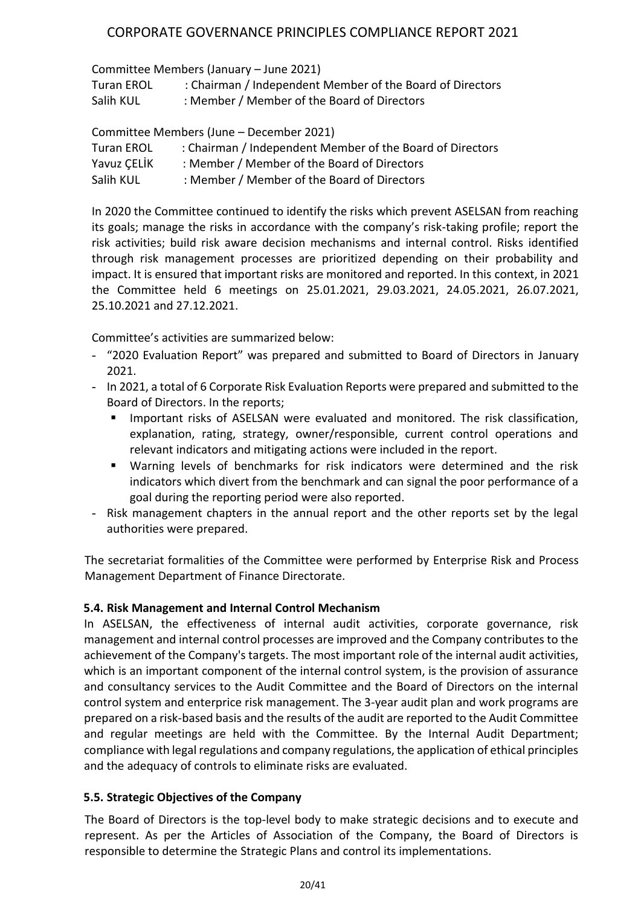Committee Members (January – June 2021)

| <b>Turan EROL</b> | : Chairman / Independent Member of the Board of Directors |
|-------------------|-----------------------------------------------------------|
| Salih KUL         | : Member / Member of the Board of Directors               |

Committee Members (June – December 2021)

| <b>Turan EROL</b> | : Chairman / Independent Member of the Board of Directors |
|-------------------|-----------------------------------------------------------|
| Yavuz CELİK       | : Member / Member of the Board of Directors               |
| Salih KUL         | : Member / Member of the Board of Directors               |

In 2020 the Committee continued to identify the risks which prevent ASELSAN from reaching its goals; manage the risks in accordance with the company's risk-taking profile; report the risk activities; build risk aware decision mechanisms and internal control. Risks identified through risk management processes are prioritized depending on their probability and impact. It is ensured that important risks are monitored and reported. In this context, in 2021 the Committee held 6 meetings on 25.01.2021, 29.03.2021, 24.05.2021, 26.07.2021, 25.10.2021 and 27.12.2021.

Committee's activities are summarized below:

- "2020 Evaluation Report" was prepared and submitted to Board of Directors in January 2021.
- In 2021, a total of 6 Corporate Risk Evaluation Reports were prepared and submitted to the Board of Directors. In the reports;
	- Important risks of ASELSAN were evaluated and monitored. The risk classification, explanation, rating, strategy, owner/responsible, current control operations and relevant indicators and mitigating actions were included in the report.
	- Warning levels of benchmarks for risk indicators were determined and the risk indicators which divert from the benchmark and can signal the poor performance of a goal during the reporting period were also reported.
- Risk management chapters in the annual report and the other reports set by the legal authorities were prepared.

The secretariat formalities of the Committee were performed by Enterprise Risk and Process Management Department of Finance Directorate.

### **5.4. Risk Management and Internal Control Mechanism**

In ASELSAN, the effectiveness of internal audit activities, corporate governance, risk management and internal control processes are improved and the Company contributes to the achievement of the Company's targets. The most important role of the internal audit activities, which is an important component of the internal control system, is the provision of assurance and consultancy services to the Audit Committee and the Board of Directors on the internal control system and enterprice risk management. The 3-year audit plan and work programs are prepared on a risk-based basis and the results of the audit are reported to the Audit Committee and regular meetings are held with the Committee. By the Internal Audit Department; compliance with legal regulations and company regulations, the application of ethical principles and the adequacy of controls to eliminate risks are evaluated.

### **5.5. Strategic Objectives of the Company**

The Board of Directors is the top-level body to make strategic decisions and to execute and represent. As per the Articles of Association of the Company, the Board of Directors is responsible to determine the Strategic Plans and control its implementations.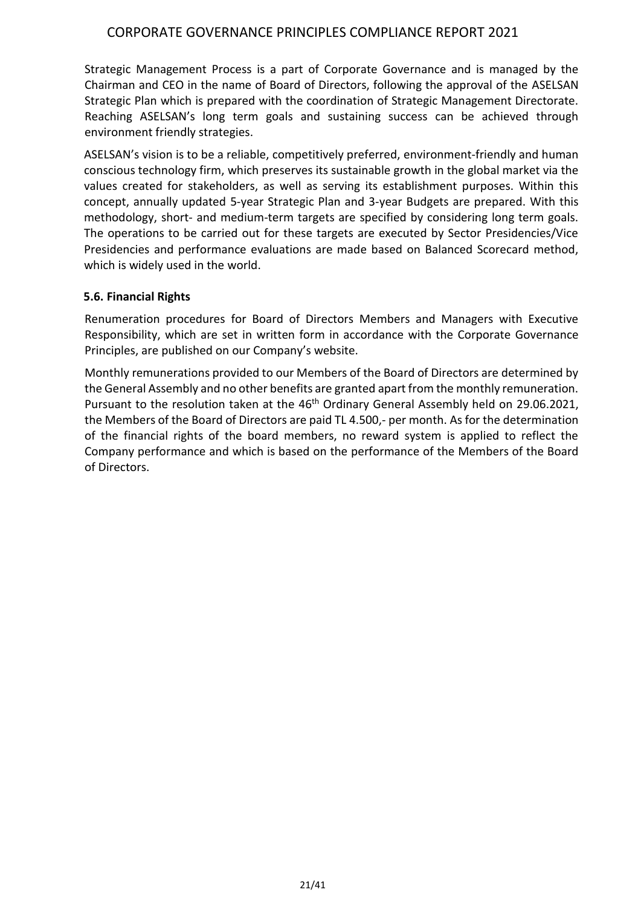Strategic Management Process is a part of Corporate Governance and is managed by the Chairman and CEO in the name of Board of Directors, following the approval of the ASELSAN Strategic Plan which is prepared with the coordination of Strategic Management Directorate. Reaching ASELSAN's long term goals and sustaining success can be achieved through environment friendly strategies.

ASELSAN's vision is to be a reliable, competitively preferred, environment-friendly and human conscious technology firm, which preserves its sustainable growth in the global market via the values created for stakeholders, as well as serving its establishment purposes. Within this concept, annually updated 5-year Strategic Plan and 3-year Budgets are prepared. With this methodology, short- and medium-term targets are specified by considering long term goals. The operations to be carried out for these targets are executed by Sector Presidencies/Vice Presidencies and performance evaluations are made based on Balanced Scorecard method, which is widely used in the world.

#### **5.6. Financial Rights**

Renumeration procedures for Board of Directors Members and Managers with Executive Responsibility, which are set in written form in accordance with the Corporate Governance Principles, are published on our Company's website.

Monthly remunerations provided to our Members of the Board of Directors are determined by the General Assembly and no other benefits are granted apart from the monthly remuneration. Pursuant to the resolution taken at the 46<sup>th</sup> Ordinary General Assembly held on 29.06.2021, the Members of the Board of Directors are paid TL 4.500,- per month. As for the determination of the financial rights of the board members, no reward system is applied to reflect the Company performance and which is based on the performance of the Members of the Board of Directors.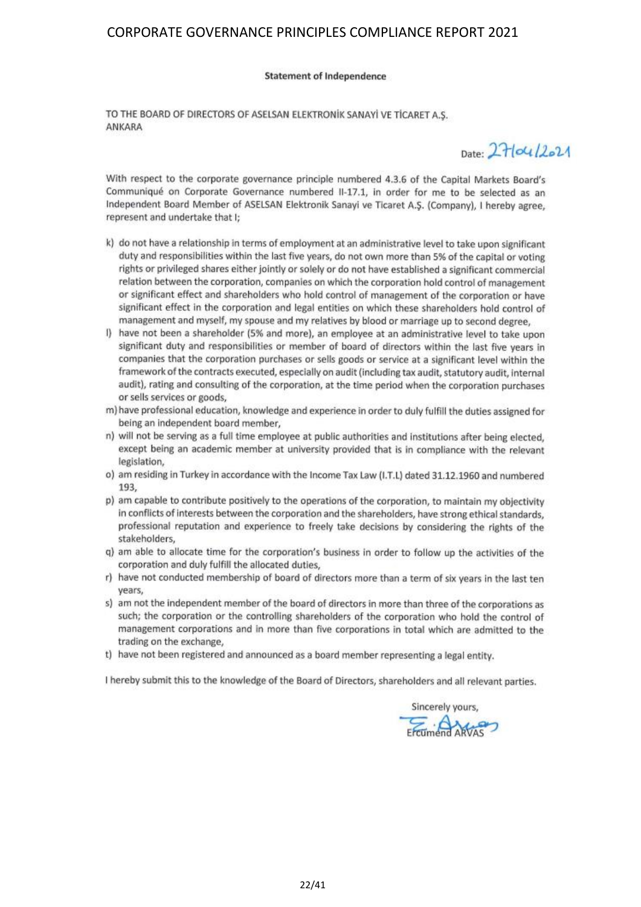#### **Statement of Independence**

TO THE BOARD OF DIRECTORS OF ASELSAN ELEKTRONIK SANAYİ VE TİCARET A.S. ANKARA

 $_{\text{Data}} 271041221$ 

With respect to the corporate governance principle numbered 4.3.6 of the Capital Markets Board's Communiqué on Corporate Governance numbered II-17.1, in order for me to be selected as an Independent Board Member of ASELSAN Elektronik Sanayi ve Ticaret A.Ş. (Company), I hereby agree, represent and undertake that I;

- k) do not have a relationship in terms of employment at an administrative level to take upon significant duty and responsibilities within the last five years, do not own more than 5% of the capital or voting rights or privileged shares either jointly or solely or do not have established a significant commercial relation between the corporation, companies on which the corporation hold control of management or significant effect and shareholders who hold control of management of the corporation or have significant effect in the corporation and legal entities on which these shareholders hold control of management and myself, my spouse and my relatives by blood or marriage up to second degree,
- have not been a shareholder (5% and more), an employee at an administrative level to take upon significant duty and responsibilities or member of board of directors within the last five vears in companies that the corporation purchases or sells goods or service at a significant level within the framework of the contracts executed, especially on audit (including tax audit, statutory audit, internal audit), rating and consulting of the corporation, at the time period when the corporation purchases or sells services or goods,
- m) have professional education, knowledge and experience in order to duly fulfill the duties assigned for being an independent board member.
- n) will not be serving as a full time employee at public authorities and institutions after being elected, except being an academic member at university provided that is in compliance with the relevant legislation,
- o) am residing in Turkey in accordance with the Income Tax Law (I.T.L) dated 31.12.1960 and numbered 193.
- p) am capable to contribute positively to the operations of the corporation, to maintain my objectivity in conflicts of interests between the corporation and the shareholders, have strong ethical standards. professional reputation and experience to freely take decisions by considering the rights of the stakeholders,
- q) am able to allocate time for the corporation's business in order to follow up the activities of the corporation and duly fulfill the allocated duties,
- r) have not conducted membership of board of directors more than a term of six years in the last ten vears.
- s) am not the independent member of the board of directors in more than three of the corporations as such; the corporation or the controlling shareholders of the corporation who hold the control of management corporations and in more than five corporations in total which are admitted to the trading on the exchange,
- t) have not been registered and announced as a board member representing a legal entity.

I hereby submit this to the knowledge of the Board of Directors, shareholders and all relevant parties.

Sincerely yours, Fremiend ARVAS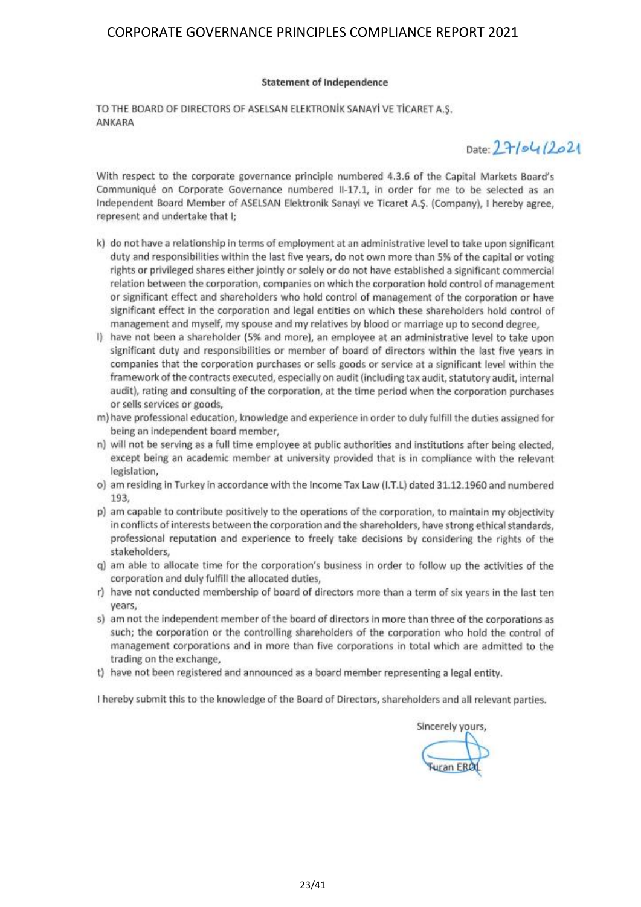#### **Statement of Independence**

TO THE BOARD OF DIRECTORS OF ASELSAN ELEKTRONIK SANAYI VE TICARET A.S. ANKARA

 $Date: 27/54/2021$ 

With respect to the corporate governance principle numbered 4.3.6 of the Capital Markets Board's Communiqué on Corporate Governance numbered II-17.1, in order for me to be selected as an Independent Board Member of ASELSAN Elektronik Sanayi ve Ticaret A.S. (Company), I hereby agree, represent and undertake that I;

- k) do not have a relationship in terms of employment at an administrative level to take upon significant duty and responsibilities within the last five years, do not own more than 5% of the capital or voting rights or privileged shares either jointly or solely or do not have established a significant commercial relation between the corporation, companies on which the corporation hold control of management or significant effect and shareholders who hold control of management of the corporation or have significant effect in the corporation and legal entities on which these shareholders hold control of management and myself, my spouse and my relatives by blood or marriage up to second degree,
- I) have not been a shareholder (5% and more), an employee at an administrative level to take upon significant duty and responsibilities or member of board of directors within the last five years in companies that the corporation purchases or sells goods or service at a significant level within the framework of the contracts executed, especially on audit (including tax audit, statutory audit, internal audit), rating and consulting of the corporation, at the time period when the corporation purchases or sells services or goods,
- m) have professional education, knowledge and experience in order to duly fulfill the duties assigned for being an independent board member,
- n) will not be serving as a full time employee at public authorities and institutions after being elected. except being an academic member at university provided that is in compliance with the relevant legislation,
- o) am residing in Turkey in accordance with the Income Tax Law (I.T.L) dated 31.12.1960 and numbered 193,
- p) am capable to contribute positively to the operations of the corporation, to maintain my objectivity in conflicts of interests between the corporation and the shareholders, have strong ethical standards. professional reputation and experience to freely take decisions by considering the rights of the stakeholders,
- q) am able to allocate time for the corporation's business in order to follow up the activities of the corporation and duly fulfill the allocated duties,
- r) have not conducted membership of board of directors more than a term of six years in the last ten years,
- s) am not the independent member of the board of directors in more than three of the corporations as such; the corporation or the controlling shareholders of the corporation who hold the control of management corporations and in more than five corporations in total which are admitted to the trading on the exchange.
- t) have not been registered and announced as a board member representing a legal entity.

I hereby submit this to the knowledge of the Board of Directors, shareholders and all relevant parties.

Sincerely yours,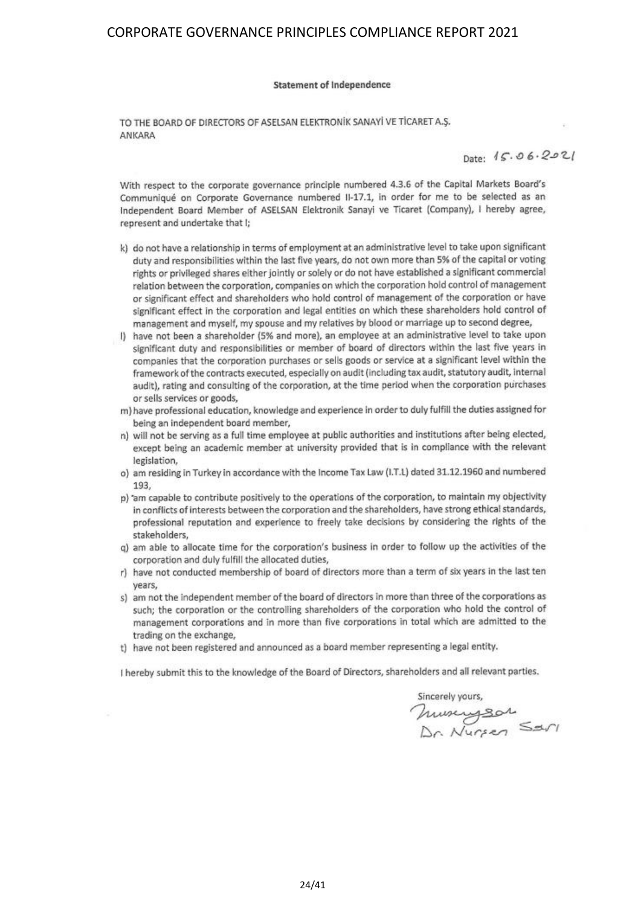#### **Statement of Independence**

TO THE BOARD OF DIRECTORS OF ASELSAN ELEKTRONIK SANAYI VE TICARET A.S. ANKARA

Date:  $15.06.2021$ 

With respect to the corporate governance principle numbered 4.3.6 of the Capital Markets Board's Communiqué on Corporate Governance numbered II-17.1, in order for me to be selected as an Independent Board Member of ASELSAN Elektronik Sanayi ve Ticaret (Company), I hereby agree, represent and undertake that I;

- k) do not have a relationship in terms of employment at an administrative level to take upon significant duty and responsibilities within the last five years, do not own more than 5% of the capital or voting rights or privileged shares either jointly or solely or do not have established a significant commercial relation between the corporation, companies on which the corporation hold control of management or significant effect and shareholders who hold control of management of the corporation or have significant effect in the corporation and legal entities on which these shareholders hold control of management and myself, my spouse and my relatives by blood or marriage up to second degree,
- I) have not been a shareholder (5% and more), an employee at an administrative level to take upon significant duty and responsibilities or member of board of directors within the last five years in companies that the corporation purchases or sells goods or service at a significant level within the framework of the contracts executed, especially on audit (including tax audit, statutory audit, internal audit), rating and consulting of the corporation, at the time period when the corporation purchases or sells services or goods,
- m) have professional education, knowledge and experience in order to duly fulfill the duties assigned for being an independent board member,
- n) will not be serving as a full time employee at public authorities and institutions after being elected, except being an academic member at university provided that is in compliance with the relevant legislation,
- o) am residing in Turkey in accordance with the Income Tax Law (I.T.L) dated 31.12.1960 and numbered 193.
- p) 'am capable to contribute positively to the operations of the corporation, to maintain my objectivity in conflicts of interests between the corporation and the shareholders, have strong ethical standards, professional reputation and experience to freely take decisions by considering the rights of the stakeholders,
- g) am able to allocate time for the corporation's business in order to follow up the activities of the corporation and duly fulfill the allocated duties,
- r) have not conducted membership of board of directors more than a term of six years in the last ten years,
- s) am not the independent member of the board of directors in more than three of the corporations as such; the corporation or the controlling shareholders of the corporation who hold the control of management corporations and in more than five corporations in total which are admitted to the trading on the exchange,
- t) have not been registered and announced as a board member representing a legal entity.

I hereby submit this to the knowledge of the Board of Directors, shareholders and all relevant parties.

Sincerely yours,<br>Museus Bor<br>Dr. Nursen Sarl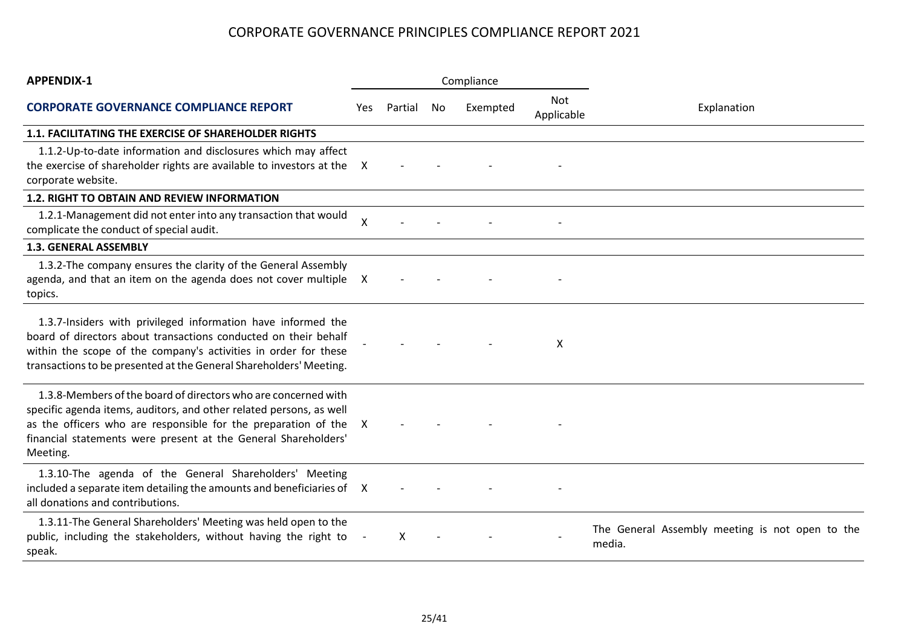| <b>APPENDIX-1</b>                                                                                                                                                                                                                                                                     |                           |         |     | Compliance |                          |                                                           |
|---------------------------------------------------------------------------------------------------------------------------------------------------------------------------------------------------------------------------------------------------------------------------------------|---------------------------|---------|-----|------------|--------------------------|-----------------------------------------------------------|
| <b>CORPORATE GOVERNANCE COMPLIANCE REPORT</b>                                                                                                                                                                                                                                         | Yes.                      | Partial | No. | Exempted   | <b>Not</b><br>Applicable | Explanation                                               |
| <b>1.1. FACILITATING THE EXERCISE OF SHAREHOLDER RIGHTS</b>                                                                                                                                                                                                                           |                           |         |     |            |                          |                                                           |
| 1.1.2-Up-to-date information and disclosures which may affect<br>the exercise of shareholder rights are available to investors at the<br>corporate website.                                                                                                                           | X                         |         |     |            |                          |                                                           |
| <b>1.2. RIGHT TO OBTAIN AND REVIEW INFORMATION</b>                                                                                                                                                                                                                                    |                           |         |     |            |                          |                                                           |
| 1.2.1-Management did not enter into any transaction that would<br>complicate the conduct of special audit.                                                                                                                                                                            | $\boldsymbol{\mathsf{X}}$ |         |     |            |                          |                                                           |
| <b>1.3. GENERAL ASSEMBLY</b>                                                                                                                                                                                                                                                          |                           |         |     |            |                          |                                                           |
| 1.3.2-The company ensures the clarity of the General Assembly<br>agenda, and that an item on the agenda does not cover multiple X<br>topics.                                                                                                                                          |                           |         |     |            |                          |                                                           |
| 1.3.7-Insiders with privileged information have informed the<br>board of directors about transactions conducted on their behalf<br>within the scope of the company's activities in order for these<br>transactions to be presented at the General Shareholders' Meeting.              |                           |         |     |            | X                        |                                                           |
| 1.3.8-Members of the board of directors who are concerned with<br>specific agenda items, auditors, and other related persons, as well<br>as the officers who are responsible for the preparation of the<br>financial statements were present at the General Shareholders'<br>Meeting. | X                         |         |     |            |                          |                                                           |
| 1.3.10-The agenda of the General Shareholders' Meeting<br>included a separate item detailing the amounts and beneficiaries of X<br>all donations and contributions.                                                                                                                   |                           |         |     |            |                          |                                                           |
| 1.3.11-The General Shareholders' Meeting was held open to the<br>public, including the stakeholders, without having the right to<br>speak.                                                                                                                                            |                           | X       |     |            |                          | The General Assembly meeting is not open to the<br>media. |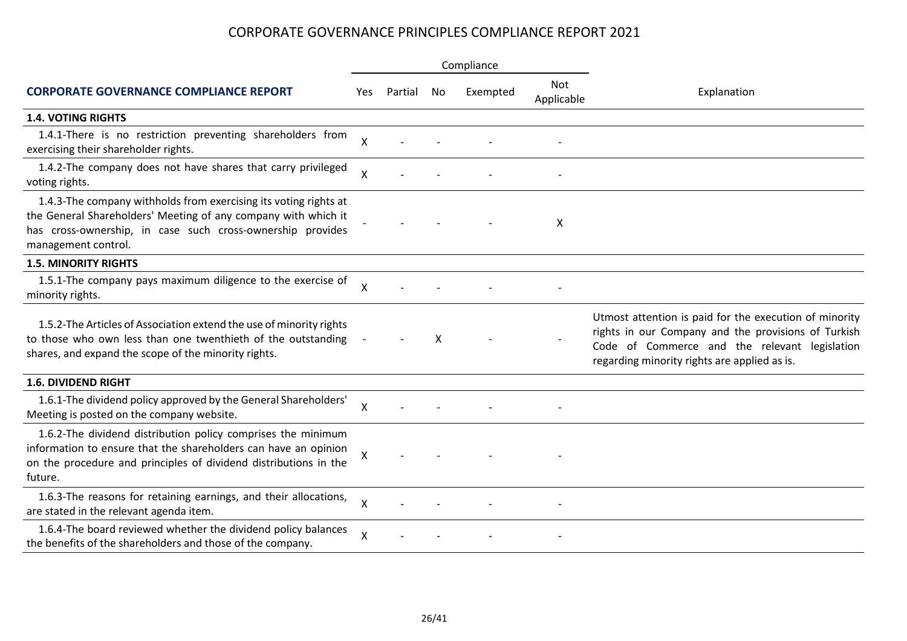|                                                                                                                                                                                                                         |                    |         |    | Compliance |                   |                                                                                                                                                                                                                |  |
|-------------------------------------------------------------------------------------------------------------------------------------------------------------------------------------------------------------------------|--------------------|---------|----|------------|-------------------|----------------------------------------------------------------------------------------------------------------------------------------------------------------------------------------------------------------|--|
| <b>CORPORATE GOVERNANCE COMPLIANCE REPORT</b>                                                                                                                                                                           | Yes.               | Partial | No | Exempted   | Not<br>Applicable | Explanation                                                                                                                                                                                                    |  |
| <b>1.4. VOTING RIGHTS</b>                                                                                                                                                                                               |                    |         |    |            |                   |                                                                                                                                                                                                                |  |
| 1.4.1-There is no restriction preventing shareholders from<br>exercising their shareholder rights.                                                                                                                      | X                  |         |    |            |                   |                                                                                                                                                                                                                |  |
| 1.4.2-The company does not have shares that carry privileged<br>voting rights.                                                                                                                                          | X                  |         |    |            |                   |                                                                                                                                                                                                                |  |
| 1.4.3-The company withholds from exercising its voting rights at<br>the General Shareholders' Meeting of any company with which it<br>has cross-ownership, in case such cross-ownership provides<br>management control. |                    |         |    |            | X                 |                                                                                                                                                                                                                |  |
| <b>1.5. MINORITY RIGHTS</b>                                                                                                                                                                                             |                    |         |    |            |                   |                                                                                                                                                                                                                |  |
| 1.5.1-The company pays maximum diligence to the exercise of<br>minority rights.                                                                                                                                         | X                  |         |    |            |                   |                                                                                                                                                                                                                |  |
| 1.5.2-The Articles of Association extend the use of minority rights<br>to those who own less than one twenthieth of the outstanding<br>shares, and expand the scope of the minority rights.                             |                    |         | x  |            |                   | Utmost attention is paid for the execution of minority<br>rights in our Company and the provisions of Turkish<br>Code of Commerce and the relevant legislation<br>regarding minority rights are applied as is. |  |
| <b>1.6. DIVIDEND RIGHT</b>                                                                                                                                                                                              |                    |         |    |            |                   |                                                                                                                                                                                                                |  |
| 1.6.1-The dividend policy approved by the General Shareholders'<br>Meeting is posted on the company website.                                                                                                            | X                  |         |    |            |                   |                                                                                                                                                                                                                |  |
| 1.6.2-The dividend distribution policy comprises the minimum<br>information to ensure that the shareholders can have an opinion<br>on the procedure and principles of dividend distributions in the<br>future.          | X                  |         |    |            |                   |                                                                                                                                                                                                                |  |
| 1.6.3-The reasons for retaining earnings, and their allocations,<br>are stated in the relevant agenda item.                                                                                                             | $\pmb{\mathsf{X}}$ |         |    |            |                   |                                                                                                                                                                                                                |  |
| 1.6.4-The board reviewed whether the dividend policy balances<br>the benefits of the shareholders and those of the company.                                                                                             | X                  |         |    |            |                   |                                                                                                                                                                                                                |  |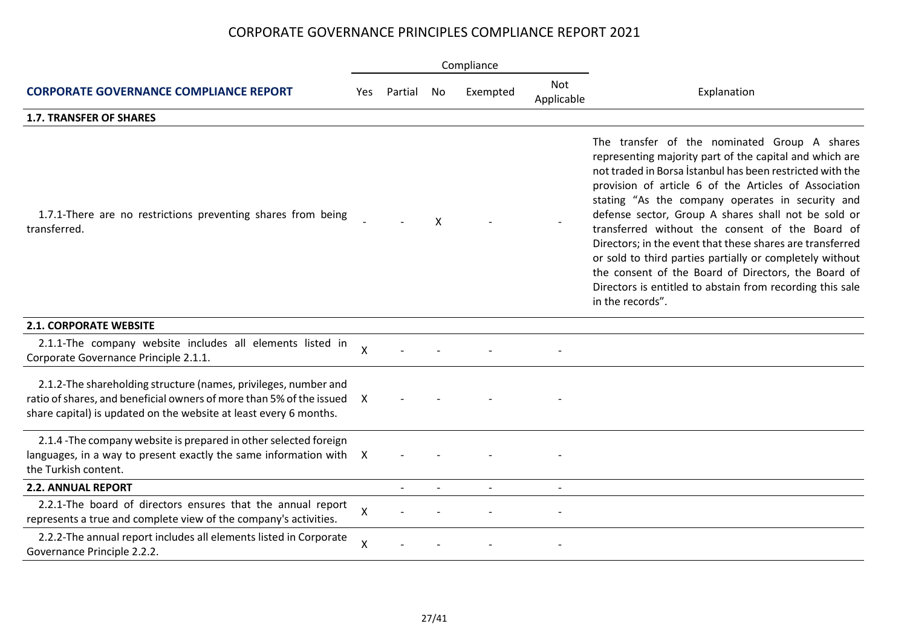|                                                                                                                                                                                                              |                           |         |    | Compliance |                          |                                                                                                                                                                                                                                                                                                                                                                                                                                                                                                                                                                                                                                                              |
|--------------------------------------------------------------------------------------------------------------------------------------------------------------------------------------------------------------|---------------------------|---------|----|------------|--------------------------|--------------------------------------------------------------------------------------------------------------------------------------------------------------------------------------------------------------------------------------------------------------------------------------------------------------------------------------------------------------------------------------------------------------------------------------------------------------------------------------------------------------------------------------------------------------------------------------------------------------------------------------------------------------|
| <b>CORPORATE GOVERNANCE COMPLIANCE REPORT</b>                                                                                                                                                                | Yes                       | Partial | No | Exempted   | <b>Not</b><br>Applicable | Explanation                                                                                                                                                                                                                                                                                                                                                                                                                                                                                                                                                                                                                                                  |
| <b>1.7. TRANSFER OF SHARES</b>                                                                                                                                                                               |                           |         |    |            |                          |                                                                                                                                                                                                                                                                                                                                                                                                                                                                                                                                                                                                                                                              |
| 1.7.1-There are no restrictions preventing shares from being<br>transferred.                                                                                                                                 |                           |         | X  |            |                          | The transfer of the nominated Group A shares<br>representing majority part of the capital and which are<br>not traded in Borsa İstanbul has been restricted with the<br>provision of article 6 of the Articles of Association<br>stating "As the company operates in security and<br>defense sector, Group A shares shall not be sold or<br>transferred without the consent of the Board of<br>Directors; in the event that these shares are transferred<br>or sold to third parties partially or completely without<br>the consent of the Board of Directors, the Board of<br>Directors is entitled to abstain from recording this sale<br>in the records". |
| <b>2.1. CORPORATE WEBSITE</b>                                                                                                                                                                                |                           |         |    |            |                          |                                                                                                                                                                                                                                                                                                                                                                                                                                                                                                                                                                                                                                                              |
| 2.1.1-The company website includes all elements listed in<br>Corporate Governance Principle 2.1.1.                                                                                                           | $\boldsymbol{\mathsf{X}}$ |         |    |            |                          |                                                                                                                                                                                                                                                                                                                                                                                                                                                                                                                                                                                                                                                              |
| 2.1.2-The shareholding structure (names, privileges, number and<br>ratio of shares, and beneficial owners of more than 5% of the issued<br>share capital) is updated on the website at least every 6 months. | X                         |         |    |            |                          |                                                                                                                                                                                                                                                                                                                                                                                                                                                                                                                                                                                                                                                              |
| 2.1.4 - The company website is prepared in other selected foreign<br>languages, in a way to present exactly the same information with X<br>the Turkish content.                                              |                           |         |    |            |                          |                                                                                                                                                                                                                                                                                                                                                                                                                                                                                                                                                                                                                                                              |
| <b>2.2. ANNUAL REPORT</b>                                                                                                                                                                                    |                           |         |    |            |                          |                                                                                                                                                                                                                                                                                                                                                                                                                                                                                                                                                                                                                                                              |
| 2.2.1-The board of directors ensures that the annual report<br>represents a true and complete view of the company's activities.                                                                              | X                         |         |    |            |                          |                                                                                                                                                                                                                                                                                                                                                                                                                                                                                                                                                                                                                                                              |
| 2.2.2-The annual report includes all elements listed in Corporate<br>Governance Principle 2.2.2.                                                                                                             | $\mathsf{X}$              |         |    |            |                          |                                                                                                                                                                                                                                                                                                                                                                                                                                                                                                                                                                                                                                                              |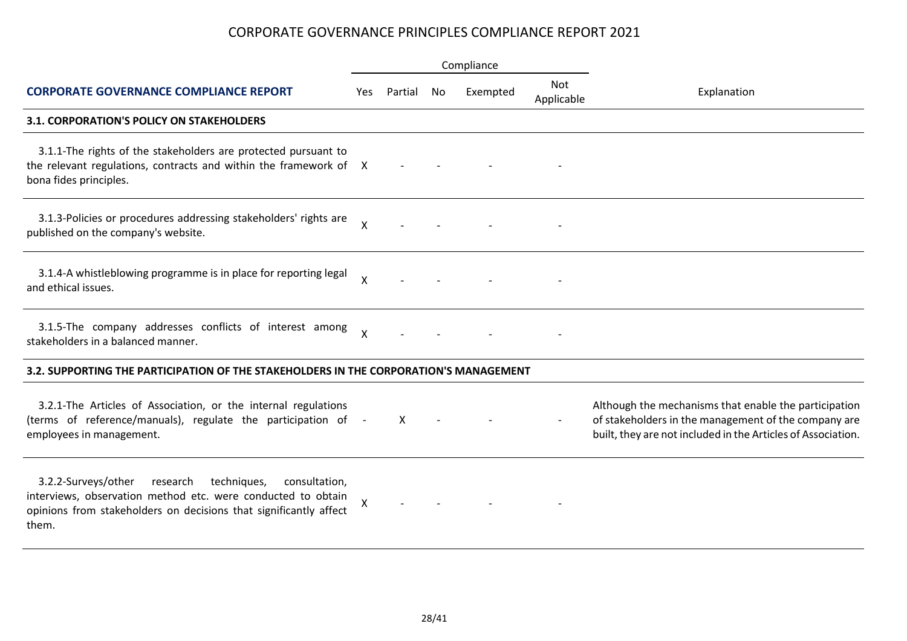|                                                                                                                                                                                                               |                           |         |    | Compliance |                          |                                                                                                                                                                               |
|---------------------------------------------------------------------------------------------------------------------------------------------------------------------------------------------------------------|---------------------------|---------|----|------------|--------------------------|-------------------------------------------------------------------------------------------------------------------------------------------------------------------------------|
| <b>CORPORATE GOVERNANCE COMPLIANCE REPORT</b>                                                                                                                                                                 | Yes.                      | Partial | No | Exempted   | <b>Not</b><br>Applicable | Explanation                                                                                                                                                                   |
| 3.1. CORPORATION'S POLICY ON STAKEHOLDERS                                                                                                                                                                     |                           |         |    |            |                          |                                                                                                                                                                               |
| 3.1.1-The rights of the stakeholders are protected pursuant to<br>the relevant regulations, contracts and within the framework of X<br>bona fides principles.                                                 |                           |         |    |            |                          |                                                                                                                                                                               |
| 3.1.3-Policies or procedures addressing stakeholders' rights are<br>published on the company's website.                                                                                                       | $\mathsf{X}$              |         |    |            |                          |                                                                                                                                                                               |
| 3.1.4-A whistleblowing programme is in place for reporting legal<br>and ethical issues.                                                                                                                       | $\mathsf{X}$              |         |    |            |                          |                                                                                                                                                                               |
| 3.1.5-The company addresses conflicts of interest among<br>stakeholders in a balanced manner.                                                                                                                 | $\boldsymbol{\mathsf{X}}$ |         |    |            |                          |                                                                                                                                                                               |
| 3.2. SUPPORTING THE PARTICIPATION OF THE STAKEHOLDERS IN THE CORPORATION'S MANAGEMENT                                                                                                                         |                           |         |    |            |                          |                                                                                                                                                                               |
| 3.2.1-The Articles of Association, or the internal regulations<br>(terms of reference/manuals), regulate the participation of<br>employees in management.                                                     |                           | X       |    |            |                          | Although the mechanisms that enable the participation<br>of stakeholders in the management of the company are<br>built, they are not included in the Articles of Association. |
| 3.2.2-Surveys/other<br>research<br>techniques,<br>consultation,<br>interviews, observation method etc. were conducted to obtain<br>opinions from stakeholders on decisions that significantly affect<br>them. | X                         |         |    |            |                          |                                                                                                                                                                               |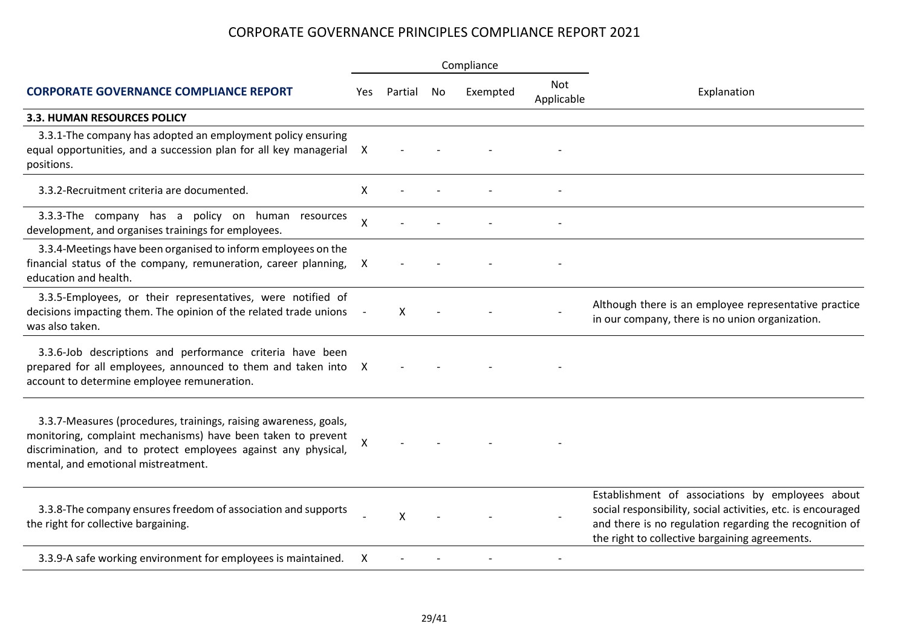|                                                                                                                                                                                                                                           |     |         |    | Compliance |                          |                                                                                                                                                                                                                               |  |  |
|-------------------------------------------------------------------------------------------------------------------------------------------------------------------------------------------------------------------------------------------|-----|---------|----|------------|--------------------------|-------------------------------------------------------------------------------------------------------------------------------------------------------------------------------------------------------------------------------|--|--|
| <b>CORPORATE GOVERNANCE COMPLIANCE REPORT</b>                                                                                                                                                                                             | Yes | Partial | No | Exempted   | <b>Not</b><br>Applicable | Explanation                                                                                                                                                                                                                   |  |  |
| <b>3.3. HUMAN RESOURCES POLICY</b>                                                                                                                                                                                                        |     |         |    |            |                          |                                                                                                                                                                                                                               |  |  |
| 3.3.1-The company has adopted an employment policy ensuring<br>equal opportunities, and a succession plan for all key managerial X<br>positions.                                                                                          |     |         |    |            |                          |                                                                                                                                                                                                                               |  |  |
| 3.3.2-Recruitment criteria are documented.                                                                                                                                                                                                | X   |         |    |            |                          |                                                                                                                                                                                                                               |  |  |
| 3.3.3-The company has a policy on human resources<br>development, and organises trainings for employees.                                                                                                                                  | X   |         |    |            |                          |                                                                                                                                                                                                                               |  |  |
| 3.3.4-Meetings have been organised to inform employees on the<br>financial status of the company, remuneration, career planning,<br>education and health.                                                                                 | X   |         |    |            |                          |                                                                                                                                                                                                                               |  |  |
| 3.3.5-Employees, or their representatives, were notified of<br>decisions impacting them. The opinion of the related trade unions<br>was also taken.                                                                                       |     | x       |    |            |                          | Although there is an employee representative practice<br>in our company, there is no union organization.                                                                                                                      |  |  |
| 3.3.6-Job descriptions and performance criteria have been<br>prepared for all employees, announced to them and taken into X<br>account to determine employee remuneration.                                                                |     |         |    |            |                          |                                                                                                                                                                                                                               |  |  |
| 3.3.7-Measures (procedures, trainings, raising awareness, goals,<br>monitoring, complaint mechanisms) have been taken to prevent<br>discrimination, and to protect employees against any physical,<br>mental, and emotional mistreatment. | Χ   |         |    |            |                          |                                                                                                                                                                                                                               |  |  |
| 3.3.8-The company ensures freedom of association and supports<br>the right for collective bargaining.                                                                                                                                     |     | X       |    |            |                          | Establishment of associations by employees about<br>social responsibility, social activities, etc. is encouraged<br>and there is no regulation regarding the recognition of<br>the right to collective bargaining agreements. |  |  |
| 3.3.9-A safe working environment for employees is maintained.                                                                                                                                                                             | х   |         |    |            |                          |                                                                                                                                                                                                                               |  |  |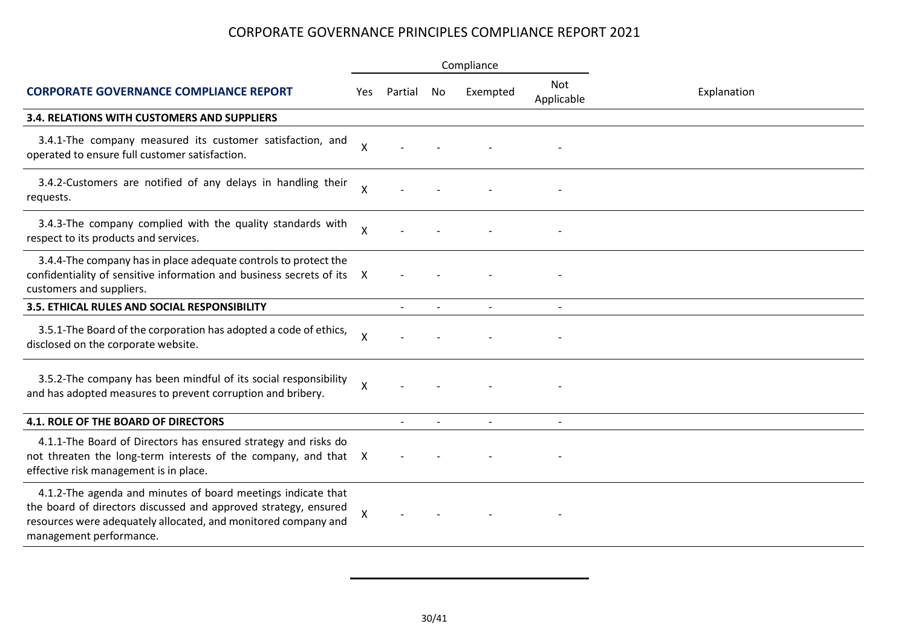|                                                                                                                                                                                                                              |                    |         |                | Compliance |                          |             |  |  |
|------------------------------------------------------------------------------------------------------------------------------------------------------------------------------------------------------------------------------|--------------------|---------|----------------|------------|--------------------------|-------------|--|--|
| <b>CORPORATE GOVERNANCE COMPLIANCE REPORT</b>                                                                                                                                                                                | Yes                | Partial | No             | Exempted   | <b>Not</b><br>Applicable | Explanation |  |  |
| 3.4. RELATIONS WITH CUSTOMERS AND SUPPLIERS                                                                                                                                                                                  |                    |         |                |            |                          |             |  |  |
| 3.4.1-The company measured its customer satisfaction, and<br>operated to ensure full customer satisfaction.                                                                                                                  | $\mathsf{X}$       |         |                |            |                          |             |  |  |
| 3.4.2-Customers are notified of any delays in handling their<br>requests.                                                                                                                                                    | X                  |         |                |            |                          |             |  |  |
| 3.4.3-The company complied with the quality standards with<br>respect to its products and services.                                                                                                                          | $\pmb{\mathsf{X}}$ |         |                |            |                          |             |  |  |
| 3.4.4-The company has in place adequate controls to protect the<br>confidentiality of sensitive information and business secrets of its X<br>customers and suppliers.                                                        |                    |         |                |            |                          |             |  |  |
| <b>3.5. ETHICAL RULES AND SOCIAL RESPONSIBILITY</b>                                                                                                                                                                          |                    |         | $\sim$         |            |                          |             |  |  |
| 3.5.1-The Board of the corporation has adopted a code of ethics,<br>disclosed on the corporate website.                                                                                                                      | $\times$           |         |                |            |                          |             |  |  |
| 3.5.2-The company has been mindful of its social responsibility<br>and has adopted measures to prevent corruption and bribery.                                                                                               | $\pmb{\times}$     |         |                |            |                          |             |  |  |
| <b>4.1. ROLE OF THE BOARD OF DIRECTORS</b>                                                                                                                                                                                   |                    |         | $\blacksquare$ |            |                          |             |  |  |
| 4.1.1-The Board of Directors has ensured strategy and risks do<br>not threaten the long-term interests of the company, and that X<br>effective risk management is in place.                                                  |                    |         |                |            |                          |             |  |  |
| 4.1.2-The agenda and minutes of board meetings indicate that<br>the board of directors discussed and approved strategy, ensured<br>resources were adequately allocated, and monitored company and<br>management performance. | X                  |         |                |            |                          |             |  |  |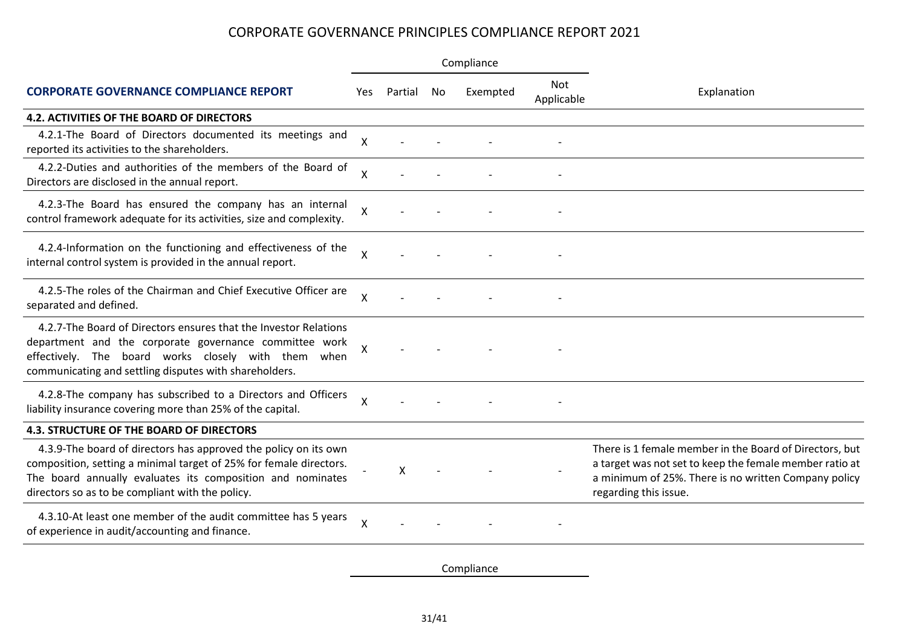|                                                                                                                                                                                                                                                         |                           |         |    | Compliance |                   |                                                                                                                                                                                                     |  |  |
|---------------------------------------------------------------------------------------------------------------------------------------------------------------------------------------------------------------------------------------------------------|---------------------------|---------|----|------------|-------------------|-----------------------------------------------------------------------------------------------------------------------------------------------------------------------------------------------------|--|--|
| <b>CORPORATE GOVERNANCE COMPLIANCE REPORT</b>                                                                                                                                                                                                           | Yes                       | Partial | No | Exempted   | Not<br>Applicable | Explanation                                                                                                                                                                                         |  |  |
| 4.2. ACTIVITIES OF THE BOARD OF DIRECTORS                                                                                                                                                                                                               |                           |         |    |            |                   |                                                                                                                                                                                                     |  |  |
| 4.2.1-The Board of Directors documented its meetings and<br>reported its activities to the shareholders.                                                                                                                                                | X                         |         |    |            |                   |                                                                                                                                                                                                     |  |  |
| 4.2.2-Duties and authorities of the members of the Board of<br>Directors are disclosed in the annual report.                                                                                                                                            | Χ                         |         |    |            |                   |                                                                                                                                                                                                     |  |  |
| 4.2.3-The Board has ensured the company has an internal<br>control framework adequate for its activities, size and complexity.                                                                                                                          | X                         |         |    |            |                   |                                                                                                                                                                                                     |  |  |
| 4.2.4-Information on the functioning and effectiveness of the<br>internal control system is provided in the annual report.                                                                                                                              | $\boldsymbol{\mathsf{X}}$ |         |    |            |                   |                                                                                                                                                                                                     |  |  |
| 4.2.5-The roles of the Chairman and Chief Executive Officer are<br>separated and defined.                                                                                                                                                               | $\times$                  |         |    |            |                   |                                                                                                                                                                                                     |  |  |
| 4.2.7-The Board of Directors ensures that the Investor Relations<br>department and the corporate governance committee work<br>effectively. The board works closely with them when<br>communicating and settling disputes with shareholders.             | Χ                         |         |    |            |                   |                                                                                                                                                                                                     |  |  |
| 4.2.8-The company has subscribed to a Directors and Officers<br>liability insurance covering more than 25% of the capital.                                                                                                                              | X                         |         |    |            |                   |                                                                                                                                                                                                     |  |  |
| <b>4.3. STRUCTURE OF THE BOARD OF DIRECTORS</b>                                                                                                                                                                                                         |                           |         |    |            |                   |                                                                                                                                                                                                     |  |  |
| 4.3.9-The board of directors has approved the policy on its own<br>composition, setting a minimal target of 25% for female directors.<br>The board annually evaluates its composition and nominates<br>directors so as to be compliant with the policy. |                           | X       |    |            |                   | There is 1 female member in the Board of Directors, but<br>a target was not set to keep the female member ratio at<br>a minimum of 25%. There is no written Company policy<br>regarding this issue. |  |  |
| 4.3.10-At least one member of the audit committee has 5 years<br>of experience in audit/accounting and finance.                                                                                                                                         | $\boldsymbol{\mathsf{X}}$ |         |    |            |                   |                                                                                                                                                                                                     |  |  |

Compliance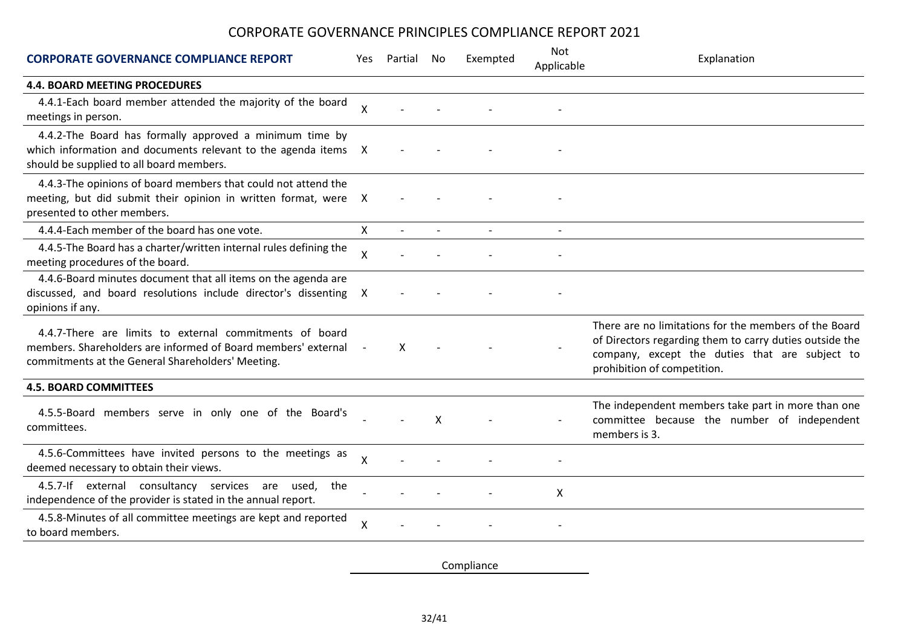| <b>CORPORATE GOVERNANCE COMPLIANCE REPORT</b>                                                                                                                                 | Yes.         | Partial | No                       | Exempted | <b>Not</b><br>Applicable | Explanation                                                                                                                                                                                       |
|-------------------------------------------------------------------------------------------------------------------------------------------------------------------------------|--------------|---------|--------------------------|----------|--------------------------|---------------------------------------------------------------------------------------------------------------------------------------------------------------------------------------------------|
| <b>4.4. BOARD MEETING PROCEDURES</b>                                                                                                                                          |              |         |                          |          |                          |                                                                                                                                                                                                   |
| 4.4.1-Each board member attended the majority of the board<br>meetings in person.                                                                                             | Χ            |         |                          |          |                          |                                                                                                                                                                                                   |
| 4.4.2-The Board has formally approved a minimum time by<br>which information and documents relevant to the agenda items X<br>should be supplied to all board members.         |              |         |                          |          |                          |                                                                                                                                                                                                   |
| 4.4.3-The opinions of board members that could not attend the<br>meeting, but did submit their opinion in written format, were<br>presented to other members.                 | $\mathsf{X}$ |         |                          |          |                          |                                                                                                                                                                                                   |
| 4.4.4-Each member of the board has one vote.                                                                                                                                  | X            |         | $\overline{\phantom{a}}$ |          |                          |                                                                                                                                                                                                   |
| 4.4.5-The Board has a charter/written internal rules defining the<br>meeting procedures of the board.                                                                         | Χ            |         |                          |          |                          |                                                                                                                                                                                                   |
| 4.4.6-Board minutes document that all items on the agenda are<br>discussed, and board resolutions include director's dissenting X<br>opinions if any.                         |              |         |                          |          |                          |                                                                                                                                                                                                   |
| 4.4.7-There are limits to external commitments of board<br>members. Shareholders are informed of Board members' external<br>commitments at the General Shareholders' Meeting. |              | X       |                          |          |                          | There are no limitations for the members of the Board<br>of Directors regarding them to carry duties outside the<br>company, except the duties that are subject to<br>prohibition of competition. |
| <b>4.5. BOARD COMMITTEES</b>                                                                                                                                                  |              |         |                          |          |                          |                                                                                                                                                                                                   |
| 4.5.5-Board members serve in only one of the Board's<br>committees.                                                                                                           |              |         | $\times$                 |          |                          | The independent members take part in more than one<br>committee because the number of independent<br>members is 3.                                                                                |
| 4.5.6-Committees have invited persons to the meetings as<br>deemed necessary to obtain their views.                                                                           | X            |         |                          |          |                          |                                                                                                                                                                                                   |
| 4.5.7-If external consultancy services are used,<br>the<br>independence of the provider is stated in the annual report.                                                       |              |         |                          |          | X                        |                                                                                                                                                                                                   |
| 4.5.8-Minutes of all committee meetings are kept and reported<br>to board members.                                                                                            | X            |         |                          |          |                          |                                                                                                                                                                                                   |

Compliance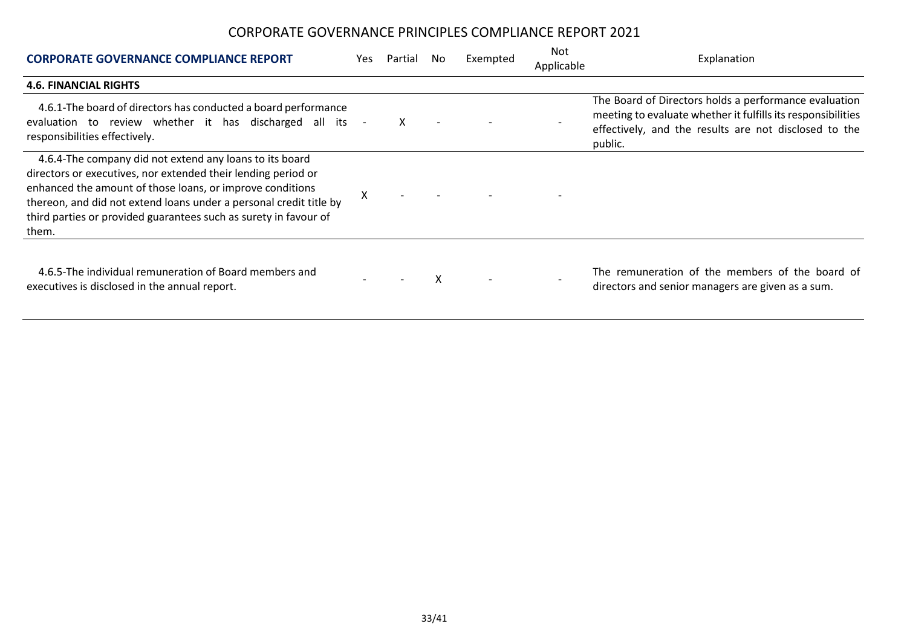| <b>CORPORATE GOVERNANCE COMPLIANCE REPORT</b>                                                                                                                                                                                                                                                                                            | Yes | Partial | No. | Exempted | Not<br>Applicable | Explanation                                                                                                                                                                               |
|------------------------------------------------------------------------------------------------------------------------------------------------------------------------------------------------------------------------------------------------------------------------------------------------------------------------------------------|-----|---------|-----|----------|-------------------|-------------------------------------------------------------------------------------------------------------------------------------------------------------------------------------------|
| <b>4.6. FINANCIAL RIGHTS</b>                                                                                                                                                                                                                                                                                                             |     |         |     |          |                   |                                                                                                                                                                                           |
| 4.6.1-The board of directors has conducted a board performance<br>evaluation to review whether it has discharged all its<br>responsibilities effectively.                                                                                                                                                                                |     |         |     |          |                   | The Board of Directors holds a performance evaluation<br>meeting to evaluate whether it fulfills its responsibilities<br>effectively, and the results are not disclosed to the<br>public. |
| 4.6.4-The company did not extend any loans to its board<br>directors or executives, nor extended their lending period or<br>enhanced the amount of those loans, or improve conditions<br>thereon, and did not extend loans under a personal credit title by<br>third parties or provided guarantees such as surety in favour of<br>them. | X   |         |     |          |                   |                                                                                                                                                                                           |
| 4.6.5-The individual remuneration of Board members and<br>executives is disclosed in the annual report.                                                                                                                                                                                                                                  |     |         | x   |          |                   | The remuneration of the members of the board of<br>directors and senior managers are given as a sum.                                                                                      |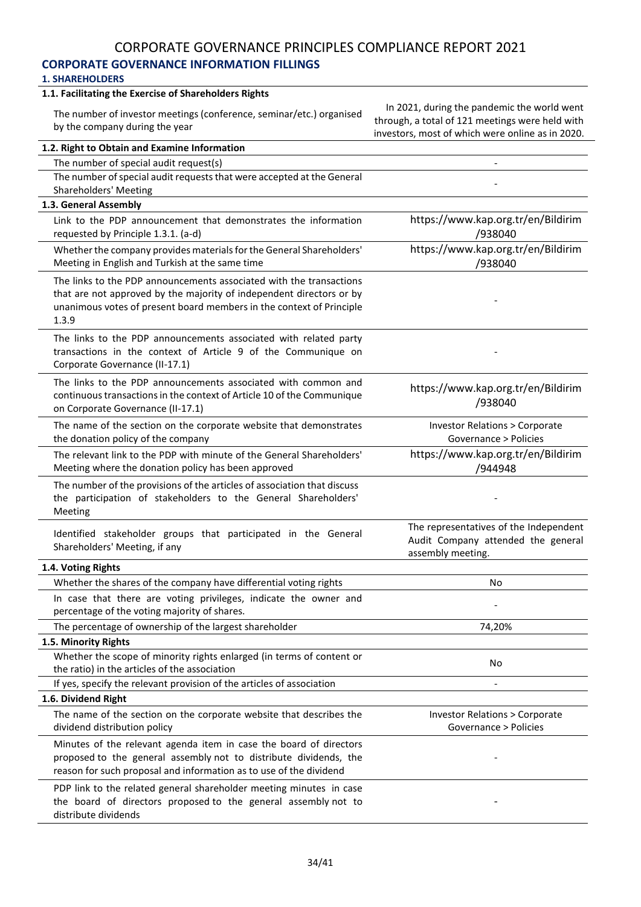#### **CORPORATE GOVERNANCE INFORMATION FILLINGS**

#### **1. SHAREHOLDERS**

#### **1.1. Facilitating the Exercise of Shareholders Rights**

The number of investor meetings (conference, seminar/etc.) organised by the company during the year

In 2021, during the pandemic the world went through, a total of 121 meetings were held with investors, most of which were online as in 2020.

| 1.2. Right to Obtain and Examine Information                             |                                                         |
|--------------------------------------------------------------------------|---------------------------------------------------------|
| The number of special audit request(s)                                   |                                                         |
| The number of special audit requests that were accepted at the General   |                                                         |
| <b>Shareholders' Meeting</b>                                             |                                                         |
| 1.3. General Assembly                                                    |                                                         |
| Link to the PDP announcement that demonstrates the information           | https://www.kap.org.tr/en/Bildirim                      |
| requested by Principle 1.3.1. (a-d)                                      | /938040                                                 |
| Whether the company provides materials for the General Shareholders'     | https://www.kap.org.tr/en/Bildirim                      |
| Meeting in English and Turkish at the same time                          | /938040                                                 |
| The links to the PDP announcements associated with the transactions      |                                                         |
| that are not approved by the majority of independent directors or by     |                                                         |
| unanimous votes of present board members in the context of Principle     |                                                         |
| 1.3.9                                                                    |                                                         |
| The links to the PDP announcements associated with related party         |                                                         |
| transactions in the context of Article 9 of the Communique on            |                                                         |
| Corporate Governance (II-17.1)                                           |                                                         |
| The links to the PDP announcements associated with common and            | https://www.kap.org.tr/en/Bildirim                      |
| continuous transactions in the context of Article 10 of the Communique   | /938040                                                 |
| on Corporate Governance (II-17.1)                                        |                                                         |
| The name of the section on the corporate website that demonstrates       | <b>Investor Relations &gt; Corporate</b>                |
| the donation policy of the company                                       | Governance > Policies                                   |
| The relevant link to the PDP with minute of the General Shareholders'    | https://www.kap.org.tr/en/Bildirim                      |
| Meeting where the donation policy has been approved                      | /944948                                                 |
| The number of the provisions of the articles of association that discuss |                                                         |
| the participation of stakeholders to the General Shareholders'           |                                                         |
| Meeting                                                                  |                                                         |
| Identified stakeholder groups that participated in the General           | The representatives of the Independent                  |
| Shareholders' Meeting, if any                                            | Audit Company attended the general<br>assembly meeting. |
| 1.4. Voting Rights                                                       |                                                         |
| Whether the shares of the company have differential voting rights        | No                                                      |
| In case that there are voting privileges, indicate the owner and         |                                                         |
| percentage of the voting majority of shares.                             |                                                         |
| The percentage of ownership of the largest shareholder                   | 74,20%                                                  |
| 1.5. Minority Rights                                                     |                                                         |
| Whether the scope of minority rights enlarged (in terms of content or    |                                                         |
| the ratio) in the articles of the association                            | No                                                      |
| If yes, specify the relevant provision of the articles of association    | $\overline{\phantom{a}}$                                |
| 1.6. Dividend Right                                                      |                                                         |
| The name of the section on the corporate website that describes the      | <b>Investor Relations &gt; Corporate</b>                |
| dividend distribution policy                                             | Governance > Policies                                   |
| Minutes of the relevant agenda item in case the board of directors       |                                                         |
| proposed to the general assembly not to distribute dividends, the        |                                                         |
| reason for such proposal and information as to use of the dividend       |                                                         |
| PDP link to the related general shareholder meeting minutes in case      |                                                         |
| the board of directors proposed to the general assembly not to           |                                                         |
| distribute dividends                                                     |                                                         |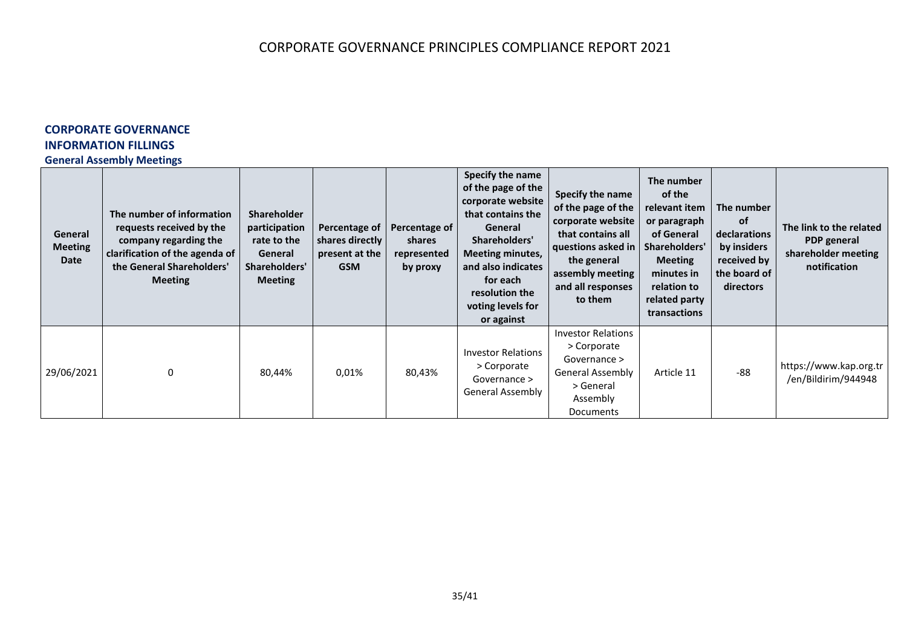# **CORPORATE GOVERNANCE INFORMATION FILLINGS**

#### **General Assembly Meetings**

| General<br><b>Meeting</b><br>Date | The number of information<br>requests received by the<br>company regarding the<br>clarification of the agenda of<br>the General Shareholders'<br><b>Meeting</b> | <b>Shareholder</b><br>participation<br>rate to the<br>General<br>Shareholders'<br><b>Meeting</b> | Percentage of<br>shares directly<br>present at the<br><b>GSM</b> | Percentage of<br>shares<br>represented<br>by proxy | Specify the name<br>of the page of the<br>corporate website<br>that contains the<br>General<br>Shareholders'<br><b>Meeting minutes,</b><br>and also indicates<br>for each<br>resolution the<br>voting levels for<br>or against | Specify the name<br>of the page of the<br>corporate website<br>that contains all<br>questions asked in<br>the general<br>assembly meeting<br>and all responses<br>to them | The number<br>of the<br>relevant item<br>or paragraph<br>of General<br>Shareholders'<br><b>Meeting</b><br>minutes in<br>relation to<br>related party<br>transactions | The number<br>of<br>declarations<br>by insiders<br>received by<br>the board of<br>directors | The link to the related<br>PDP general<br>shareholder meeting<br>notification |
|-----------------------------------|-----------------------------------------------------------------------------------------------------------------------------------------------------------------|--------------------------------------------------------------------------------------------------|------------------------------------------------------------------|----------------------------------------------------|--------------------------------------------------------------------------------------------------------------------------------------------------------------------------------------------------------------------------------|---------------------------------------------------------------------------------------------------------------------------------------------------------------------------|----------------------------------------------------------------------------------------------------------------------------------------------------------------------|---------------------------------------------------------------------------------------------|-------------------------------------------------------------------------------|
| 29/06/2021                        | 0                                                                                                                                                               | 80,44%                                                                                           | 0,01%                                                            | 80,43%                                             | <b>Investor Relations</b><br>> Corporate<br>Governance ><br>General Assembly                                                                                                                                                   | <b>Investor Relations</b><br>> Corporate<br>Governance ><br>General Assembly<br>> General<br>Assembly<br>Documents                                                        | Article 11                                                                                                                                                           | $-88$                                                                                       | https://www.kap.org.tr<br>/en/Bildirim/944948                                 |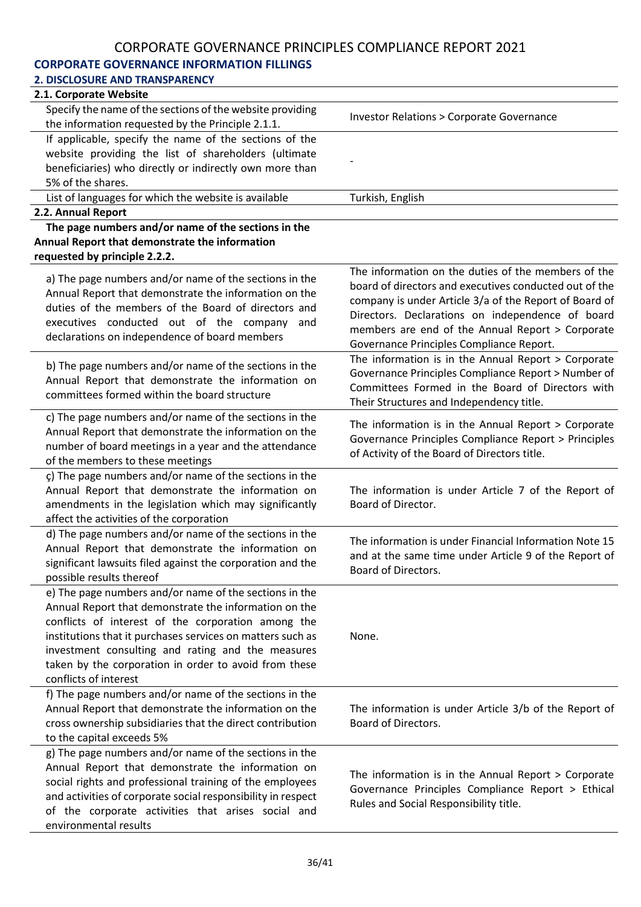# **CORPORATE GOVERNANCE INFORMATION FILLINGS**

| 2. DISCLOSURE AND TRANSPARENCY                                                                                                                                                                                                                                                                                                                                             |                                                                                                                                                                                                                                                                                                                             |
|----------------------------------------------------------------------------------------------------------------------------------------------------------------------------------------------------------------------------------------------------------------------------------------------------------------------------------------------------------------------------|-----------------------------------------------------------------------------------------------------------------------------------------------------------------------------------------------------------------------------------------------------------------------------------------------------------------------------|
| 2.1. Corporate Website                                                                                                                                                                                                                                                                                                                                                     |                                                                                                                                                                                                                                                                                                                             |
| Specify the name of the sections of the website providing<br>the information requested by the Principle 2.1.1.                                                                                                                                                                                                                                                             | <b>Investor Relations &gt; Corporate Governance</b>                                                                                                                                                                                                                                                                         |
| If applicable, specify the name of the sections of the                                                                                                                                                                                                                                                                                                                     |                                                                                                                                                                                                                                                                                                                             |
| website providing the list of shareholders (ultimate                                                                                                                                                                                                                                                                                                                       |                                                                                                                                                                                                                                                                                                                             |
| beneficiaries) who directly or indirectly own more than                                                                                                                                                                                                                                                                                                                    |                                                                                                                                                                                                                                                                                                                             |
| 5% of the shares.                                                                                                                                                                                                                                                                                                                                                          |                                                                                                                                                                                                                                                                                                                             |
| List of languages for which the website is available                                                                                                                                                                                                                                                                                                                       | Turkish, English                                                                                                                                                                                                                                                                                                            |
| 2.2. Annual Report                                                                                                                                                                                                                                                                                                                                                         |                                                                                                                                                                                                                                                                                                                             |
| The page numbers and/or name of the sections in the                                                                                                                                                                                                                                                                                                                        |                                                                                                                                                                                                                                                                                                                             |
| Annual Report that demonstrate the information                                                                                                                                                                                                                                                                                                                             |                                                                                                                                                                                                                                                                                                                             |
| requested by principle 2.2.2.                                                                                                                                                                                                                                                                                                                                              |                                                                                                                                                                                                                                                                                                                             |
| a) The page numbers and/or name of the sections in the<br>Annual Report that demonstrate the information on the<br>duties of the members of the Board of directors and<br>executives conducted out of the company<br>and<br>declarations on independence of board members                                                                                                  | The information on the duties of the members of the<br>board of directors and executives conducted out of the<br>company is under Article 3/a of the Report of Board of<br>Directors. Declarations on independence of board<br>members are end of the Annual Report > Corporate<br>Governance Principles Compliance Report. |
| b) The page numbers and/or name of the sections in the<br>Annual Report that demonstrate the information on<br>committees formed within the board structure                                                                                                                                                                                                                | The information is in the Annual Report > Corporate<br>Governance Principles Compliance Report > Number of<br>Committees Formed in the Board of Directors with<br>Their Structures and Independency title.                                                                                                                  |
| c) The page numbers and/or name of the sections in the<br>Annual Report that demonstrate the information on the<br>number of board meetings in a year and the attendance<br>of the members to these meetings                                                                                                                                                               | The information is in the Annual Report > Corporate<br>Governance Principles Compliance Report > Principles<br>of Activity of the Board of Directors title.                                                                                                                                                                 |
| ç) The page numbers and/or name of the sections in the<br>Annual Report that demonstrate the information on<br>amendments in the legislation which may significantly<br>affect the activities of the corporation                                                                                                                                                           | The information is under Article 7 of the Report of<br>Board of Director.                                                                                                                                                                                                                                                   |
| d) The page numbers and/or name of the sections in the<br>Annual Report that demonstrate the information on<br>significant lawsuits filed against the corporation and the<br>possible results thereof                                                                                                                                                                      | The information is under Financial Information Note 15<br>and at the same time under Article 9 of the Report of<br>Board of Directors.                                                                                                                                                                                      |
| e) The page numbers and/or name of the sections in the<br>Annual Report that demonstrate the information on the<br>conflicts of interest of the corporation among the<br>institutions that it purchases services on matters such as<br>investment consulting and rating and the measures<br>taken by the corporation in order to avoid from these<br>conflicts of interest | None.                                                                                                                                                                                                                                                                                                                       |
| f) The page numbers and/or name of the sections in the<br>Annual Report that demonstrate the information on the<br>cross ownership subsidiaries that the direct contribution<br>to the capital exceeds 5%                                                                                                                                                                  | The information is under Article 3/b of the Report of<br>Board of Directors.                                                                                                                                                                                                                                                |
| g) The page numbers and/or name of the sections in the<br>Annual Report that demonstrate the information on<br>social rights and professional training of the employees<br>and activities of corporate social responsibility in respect<br>of the corporate activities that arises social and<br>environmental results                                                     | The information is in the Annual Report > Corporate<br>Governance Principles Compliance Report > Ethical<br>Rules and Social Responsibility title.                                                                                                                                                                          |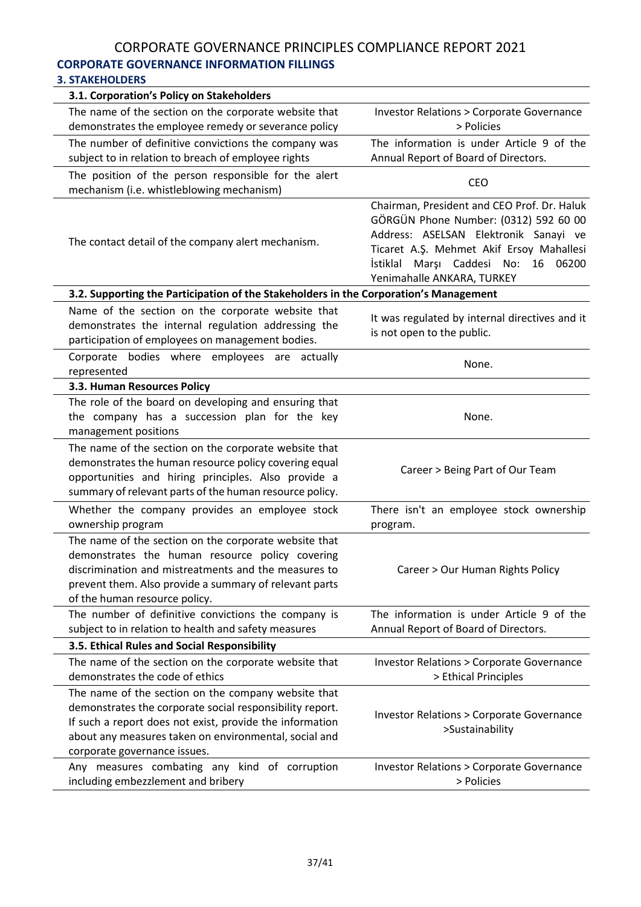# CORPORATE GOVERNANCE PRINCIPLES COMPLIANCE REPORT 2021 **CORPORATE GOVERNANCE INFORMATION FILLINGS**

#### **3. STAKEHOLDERS**

| 3.1. Corporation's Policy on Stakeholders                                                                                                                                                                                                                            |                                                                                                                                                                                                                                                      |
|----------------------------------------------------------------------------------------------------------------------------------------------------------------------------------------------------------------------------------------------------------------------|------------------------------------------------------------------------------------------------------------------------------------------------------------------------------------------------------------------------------------------------------|
| The name of the section on the corporate website that<br>demonstrates the employee remedy or severance policy                                                                                                                                                        | <b>Investor Relations &gt; Corporate Governance</b><br>> Policies                                                                                                                                                                                    |
| The number of definitive convictions the company was<br>subject to in relation to breach of employee rights                                                                                                                                                          | The information is under Article 9 of the<br>Annual Report of Board of Directors.                                                                                                                                                                    |
| The position of the person responsible for the alert<br>mechanism (i.e. whistleblowing mechanism)                                                                                                                                                                    | <b>CEO</b>                                                                                                                                                                                                                                           |
| The contact detail of the company alert mechanism.                                                                                                                                                                                                                   | Chairman, President and CEO Prof. Dr. Haluk<br>GÖRGÜN Phone Number: (0312) 592 60 00<br>Address: ASELSAN Elektronik Sanayi ve<br>Ticaret A.Ş. Mehmet Akif Ersoy Mahallesi<br>İstiklal Marşı Caddesi<br>16 06200<br>No:<br>Yenimahalle ANKARA, TURKEY |
| 3.2. Supporting the Participation of the Stakeholders in the Corporation's Management                                                                                                                                                                                |                                                                                                                                                                                                                                                      |
| Name of the section on the corporate website that<br>demonstrates the internal regulation addressing the<br>participation of employees on management bodies.                                                                                                         | It was regulated by internal directives and it<br>is not open to the public.                                                                                                                                                                         |
| Corporate bodies where employees are actually<br>represented                                                                                                                                                                                                         | None.                                                                                                                                                                                                                                                |
| 3.3. Human Resources Policy                                                                                                                                                                                                                                          |                                                                                                                                                                                                                                                      |
| The role of the board on developing and ensuring that<br>the company has a succession plan for the key<br>management positions                                                                                                                                       | None.                                                                                                                                                                                                                                                |
| The name of the section on the corporate website that<br>demonstrates the human resource policy covering equal<br>opportunities and hiring principles. Also provide a<br>summary of relevant parts of the human resource policy.                                     | Career > Being Part of Our Team                                                                                                                                                                                                                      |
| Whether the company provides an employee stock<br>ownership program                                                                                                                                                                                                  | There isn't an employee stock ownership<br>program.                                                                                                                                                                                                  |
| The name of the section on the corporate website that<br>demonstrates the human resource policy covering<br>discrimination and mistreatments and the measures to<br>prevent them. Also provide a summary of relevant parts<br>of the human resource policy.          | Career > Our Human Rights Policy                                                                                                                                                                                                                     |
| The number of definitive convictions the company is                                                                                                                                                                                                                  | The information is under Article 9 of the                                                                                                                                                                                                            |
| subject to in relation to health and safety measures                                                                                                                                                                                                                 | Annual Report of Board of Directors.                                                                                                                                                                                                                 |
| 3.5. Ethical Rules and Social Responsibility                                                                                                                                                                                                                         |                                                                                                                                                                                                                                                      |
| The name of the section on the corporate website that<br>demonstrates the code of ethics                                                                                                                                                                             | <b>Investor Relations &gt; Corporate Governance</b><br>> Ethical Principles                                                                                                                                                                          |
| The name of the section on the company website that<br>demonstrates the corporate social responsibility report.<br>If such a report does not exist, provide the information<br>about any measures taken on environmental, social and<br>corporate governance issues. | <b>Investor Relations &gt; Corporate Governance</b><br>>Sustainability                                                                                                                                                                               |
| Any measures combating any kind of corruption<br>including embezzlement and bribery                                                                                                                                                                                  | <b>Investor Relations &gt; Corporate Governance</b><br>> Policies                                                                                                                                                                                    |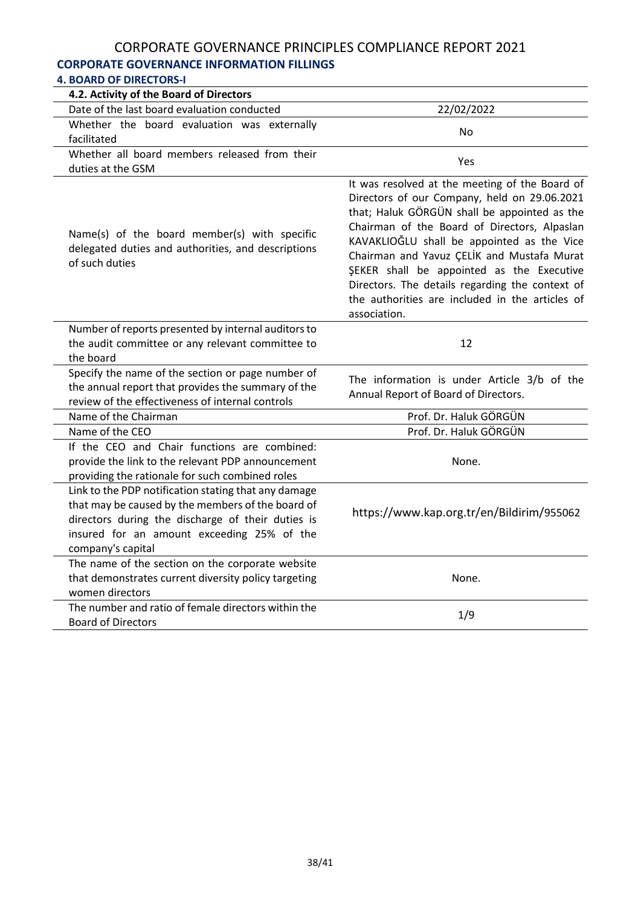# **CORPORATE GOVERNANCE INFORMATION FILLINGS**

| <b>4. BOARD OF DIRECTORS-I</b>                                                                                                                                                                                                    |                                                                                                                                                                                                                                                                                                                                                                                                                                                               |
|-----------------------------------------------------------------------------------------------------------------------------------------------------------------------------------------------------------------------------------|---------------------------------------------------------------------------------------------------------------------------------------------------------------------------------------------------------------------------------------------------------------------------------------------------------------------------------------------------------------------------------------------------------------------------------------------------------------|
| 4.2. Activity of the Board of Directors                                                                                                                                                                                           |                                                                                                                                                                                                                                                                                                                                                                                                                                                               |
| Date of the last board evaluation conducted                                                                                                                                                                                       | 22/02/2022                                                                                                                                                                                                                                                                                                                                                                                                                                                    |
| Whether the board evaluation was externally<br>facilitated                                                                                                                                                                        | <b>No</b>                                                                                                                                                                                                                                                                                                                                                                                                                                                     |
| Whether all board members released from their<br>duties at the GSM                                                                                                                                                                | Yes                                                                                                                                                                                                                                                                                                                                                                                                                                                           |
| Name(s) of the board member(s) with specific<br>delegated duties and authorities, and descriptions<br>of such duties                                                                                                              | It was resolved at the meeting of the Board of<br>Directors of our Company, held on 29.06.2021<br>that; Haluk GÖRGÜN shall be appointed as the<br>Chairman of the Board of Directors, Alpaslan<br>KAVAKLIOĞLU shall be appointed as the Vice<br>Chairman and Yavuz ÇELİK and Mustafa Murat<br>ŞEKER shall be appointed as the Executive<br>Directors. The details regarding the context of<br>the authorities are included in the articles of<br>association. |
| Number of reports presented by internal auditors to<br>the audit committee or any relevant committee to<br>the board                                                                                                              | 12                                                                                                                                                                                                                                                                                                                                                                                                                                                            |
| Specify the name of the section or page number of<br>the annual report that provides the summary of the<br>review of the effectiveness of internal controls                                                                       | The information is under Article 3/b of the<br>Annual Report of Board of Directors.                                                                                                                                                                                                                                                                                                                                                                           |
| Name of the Chairman                                                                                                                                                                                                              | Prof. Dr. Haluk GÖRGÜN                                                                                                                                                                                                                                                                                                                                                                                                                                        |
| Name of the CEO                                                                                                                                                                                                                   | Prof. Dr. Haluk GÖRGÜN                                                                                                                                                                                                                                                                                                                                                                                                                                        |
| If the CEO and Chair functions are combined:<br>provide the link to the relevant PDP announcement<br>providing the rationale for such combined roles                                                                              | None.                                                                                                                                                                                                                                                                                                                                                                                                                                                         |
| Link to the PDP notification stating that any damage<br>that may be caused by the members of the board of<br>directors during the discharge of their duties is<br>insured for an amount exceeding 25% of the<br>company's capital | https://www.kap.org.tr/en/Bildirim/955062                                                                                                                                                                                                                                                                                                                                                                                                                     |
| The name of the section on the corporate website<br>that demonstrates current diversity policy targeting<br>women directors                                                                                                       | None.                                                                                                                                                                                                                                                                                                                                                                                                                                                         |
| The number and ratio of female directors within the<br><b>Board of Directors</b>                                                                                                                                                  | 1/9                                                                                                                                                                                                                                                                                                                                                                                                                                                           |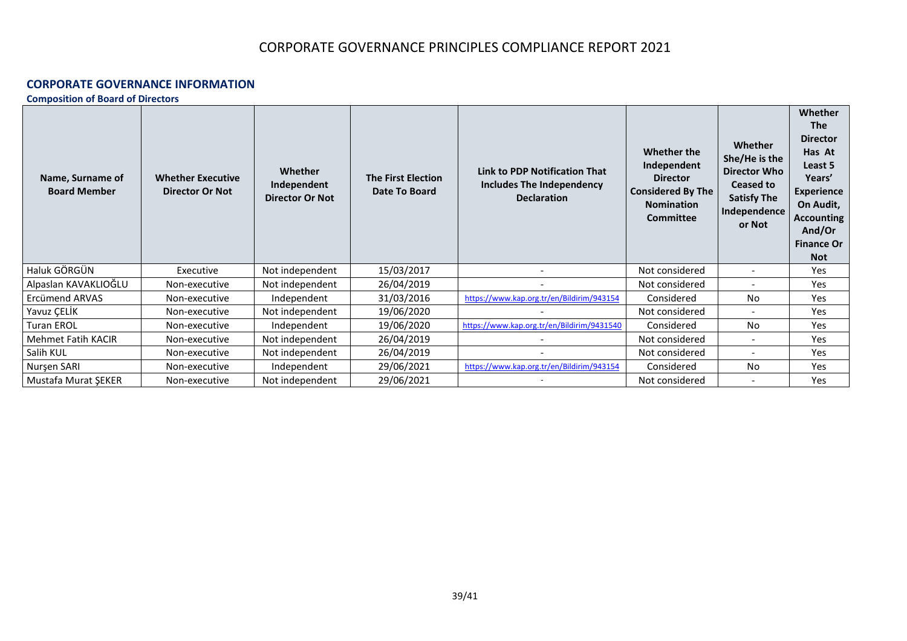#### **CORPORATE GOVERNANCE INFORMATION**

**Composition of Board of Directors**

| Name, Surname of<br><b>Board Member</b> | <b>Whether Executive</b><br><b>Director Or Not</b> | <b>Whether</b><br>Independent<br><b>Director Or Not</b> | <b>The First Election</b><br>Date To Board | <b>Link to PDP Notification That</b><br><b>Includes The Independency</b><br><b>Declaration</b> | Whether the<br>Independent<br><b>Director</b><br><b>Considered By The</b><br><b>Nomination</b><br><b>Committee</b> | Whether<br>She/He is the<br><b>Director Who</b><br><b>Ceased to</b><br><b>Satisfy The</b><br>Independence<br>or Not | <b>Whether</b><br><b>The</b><br><b>Director</b><br>Has At<br>Least 5<br>Years'<br><b>Experience</b><br>On Audit,<br><b>Accounting</b><br>And/Or<br><b>Finance Or</b><br><b>Not</b> |
|-----------------------------------------|----------------------------------------------------|---------------------------------------------------------|--------------------------------------------|------------------------------------------------------------------------------------------------|--------------------------------------------------------------------------------------------------------------------|---------------------------------------------------------------------------------------------------------------------|------------------------------------------------------------------------------------------------------------------------------------------------------------------------------------|
| Haluk GÖRGÜN                            | Executive                                          | Not independent                                         | 15/03/2017                                 |                                                                                                | Not considered                                                                                                     |                                                                                                                     | Yes                                                                                                                                                                                |
| Alpaslan KAVAKLIOĞLU                    | Non-executive                                      | Not independent                                         | 26/04/2019                                 |                                                                                                | Not considered                                                                                                     |                                                                                                                     | Yes                                                                                                                                                                                |
| <b>Ercümend ARVAS</b>                   | Non-executive                                      | Independent                                             | 31/03/2016                                 | https://www.kap.org.tr/en/Bildirim/943154                                                      | Considered                                                                                                         | No                                                                                                                  | Yes                                                                                                                                                                                |
| Yavuz ÇELİK                             | Non-executive                                      | Not independent                                         | 19/06/2020                                 |                                                                                                | Not considered                                                                                                     |                                                                                                                     | Yes                                                                                                                                                                                |
| <b>Turan EROL</b>                       | Non-executive                                      | Independent                                             | 19/06/2020                                 | https://www.kap.org.tr/en/Bildirim/9431540                                                     | Considered                                                                                                         | <b>No</b>                                                                                                           | Yes                                                                                                                                                                                |
| Mehmet Fatih KACIR                      | Non-executive                                      | Not independent                                         | 26/04/2019                                 |                                                                                                | Not considered                                                                                                     |                                                                                                                     | Yes                                                                                                                                                                                |
| Salih KUL                               | Non-executive                                      | Not independent                                         | 26/04/2019                                 |                                                                                                | Not considered                                                                                                     |                                                                                                                     | Yes                                                                                                                                                                                |
| Nurşen SARI                             | Non-executive                                      | Independent                                             | 29/06/2021                                 | https://www.kap.org.tr/en/Bildirim/943154                                                      | Considered                                                                                                         | <b>No</b>                                                                                                           | Yes                                                                                                                                                                                |
| Mustafa Murat ŞEKER                     | Non-executive                                      | Not independent                                         | 29/06/2021                                 |                                                                                                | Not considered                                                                                                     |                                                                                                                     | Yes                                                                                                                                                                                |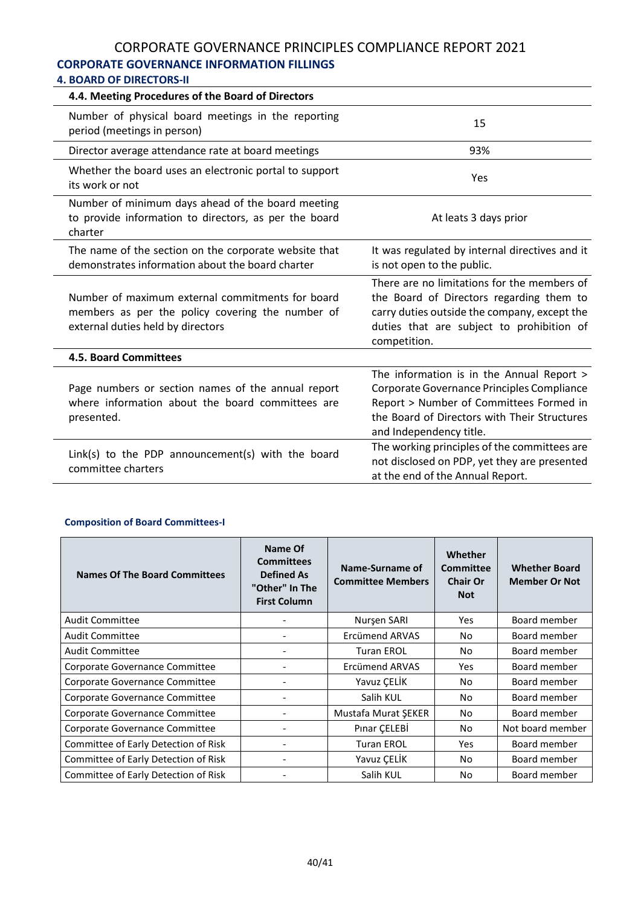# **CORPORATE GOVERNANCE INFORMATION FILLINGS**

# **4. BOARD OF DIRECTORS-II**

| 4.4. Meeting Procedures of the Board of Directors                                                                                         |                                                                                                                                                                                                               |
|-------------------------------------------------------------------------------------------------------------------------------------------|---------------------------------------------------------------------------------------------------------------------------------------------------------------------------------------------------------------|
| Number of physical board meetings in the reporting<br>period (meetings in person)                                                         | 15                                                                                                                                                                                                            |
| Director average attendance rate at board meetings                                                                                        | 93%                                                                                                                                                                                                           |
| Whether the board uses an electronic portal to support<br>its work or not                                                                 | Yes                                                                                                                                                                                                           |
| Number of minimum days ahead of the board meeting<br>to provide information to directors, as per the board<br>charter                     | At leats 3 days prior                                                                                                                                                                                         |
| The name of the section on the corporate website that<br>demonstrates information about the board charter                                 | It was regulated by internal directives and it<br>is not open to the public.                                                                                                                                  |
| Number of maximum external commitments for board<br>members as per the policy covering the number of<br>external duties held by directors | There are no limitations for the members of<br>the Board of Directors regarding them to<br>carry duties outside the company, except the<br>duties that are subject to prohibition of<br>competition.          |
| <b>4.5. Board Committees</b>                                                                                                              |                                                                                                                                                                                                               |
| Page numbers or section names of the annual report<br>where information about the board committees are<br>presented.                      | The information is in the Annual Report ><br>Corporate Governance Principles Compliance<br>Report > Number of Committees Formed in<br>the Board of Directors with Their Structures<br>and Independency title. |
| Link(s) to the PDP announcement(s) with the board<br>committee charters                                                                   | The working principles of the committees are<br>not disclosed on PDP, yet they are presented<br>at the end of the Annual Report.                                                                              |

#### **Composition of Board Committees-I**

| <b>Names Of The Board Committees</b> | Name Of<br><b>Committees</b><br><b>Defined As</b><br>"Other" In The<br><b>First Column</b> | Name-Surname of<br><b>Committee Members</b> | Whether<br>Committee<br><b>Chair Or</b><br><b>Not</b> | <b>Whether Board</b><br><b>Member Or Not</b> |
|--------------------------------------|--------------------------------------------------------------------------------------------|---------------------------------------------|-------------------------------------------------------|----------------------------------------------|
| <b>Audit Committee</b>               |                                                                                            | Nurşen SARI                                 | Yes                                                   | Board member                                 |
| <b>Audit Committee</b>               |                                                                                            | Ercümend ARVAS                              | No.                                                   | Board member                                 |
| <b>Audit Committee</b>               | ۰                                                                                          | <b>Turan EROL</b>                           | No                                                    | Board member                                 |
| Corporate Governance Committee       |                                                                                            | Ercümend ARVAS                              | Yes                                                   | Board member                                 |
| Corporate Governance Committee       |                                                                                            | Yavuz ÇELİK                                 | No                                                    | Board member                                 |
| Corporate Governance Committee       | ۰                                                                                          | Salih KUL                                   | No                                                    | Board member                                 |
| Corporate Governance Committee       |                                                                                            | Mustafa Murat ŞEKER                         | No                                                    | Board member                                 |
| Corporate Governance Committee       |                                                                                            | Pinar CELEBİ                                | No                                                    | Not board member                             |
| Committee of Early Detection of Risk |                                                                                            | <b>Turan EROL</b>                           | Yes                                                   | Board member                                 |
| Committee of Early Detection of Risk |                                                                                            | Yavuz ÇELİK                                 | No                                                    | Board member                                 |
| Committee of Early Detection of Risk |                                                                                            | Salih KUL                                   | No                                                    | Board member                                 |